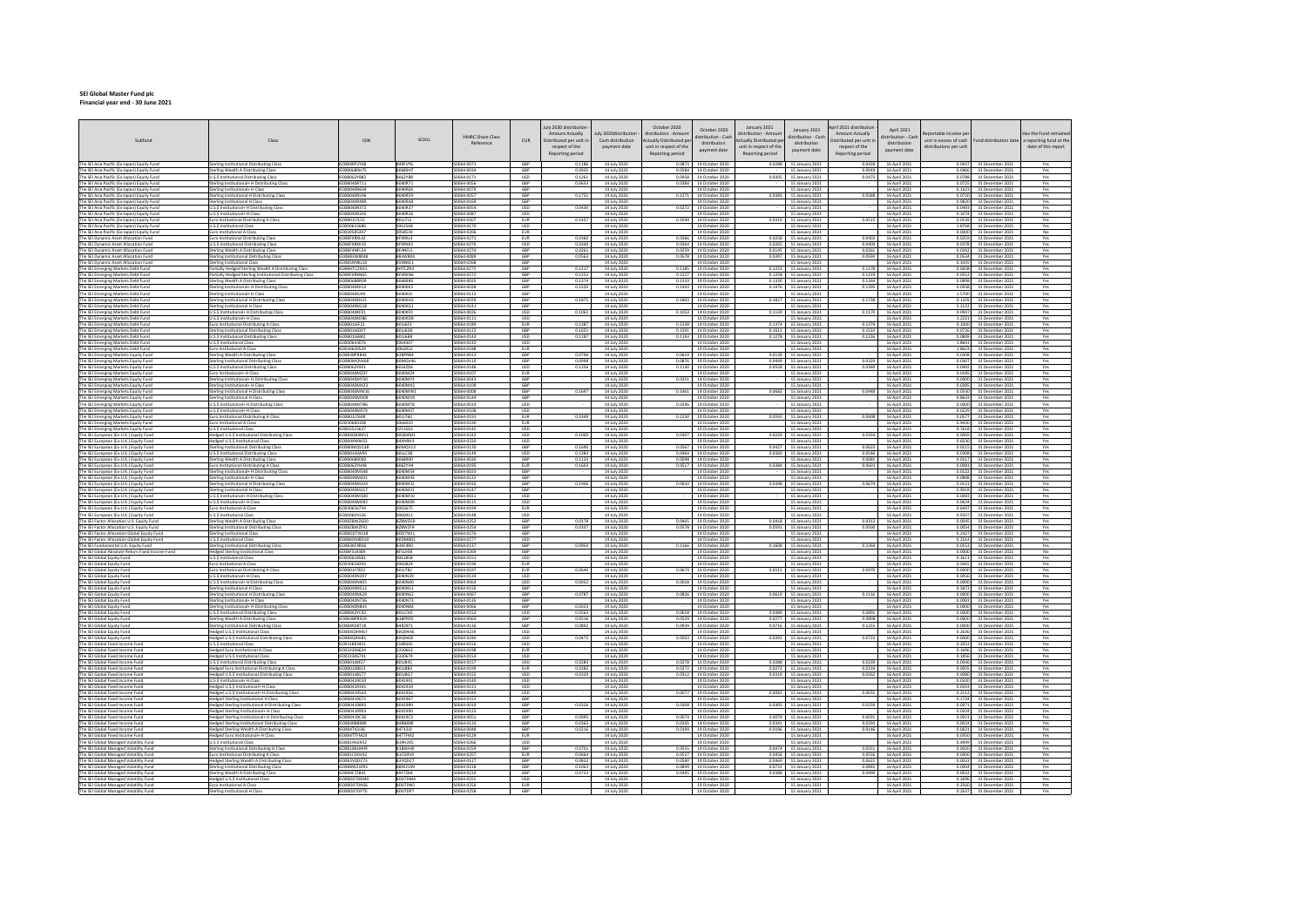## **SEI Global Master Fund plc Financial year end ‐ 30 June 2021**

| The SEI Asia Pacific (Ex-Japan) Equity Fund<br>The SEI Asia Pacific (Ex-Japan) Equity Fund<br>Sterling Institutional Distributing Class<br>IE00B4RFVY68<br>B4RFVY6<br>S0064-0071<br>GBP<br>0.1186<br>14 July 2020<br>0.0873 14 October 2020<br>0.0288<br>15 January 2021<br>0.0428<br>16 April 2021<br>0.0437 31 December 2021<br>terling Wealth A Distributing Class<br>IE00B0689H79<br>B0689H7<br>GBP<br>0.0935<br>0.0584 14 October 2020<br>0.0049<br>0.0466 31 December 2021<br>14 July 2020<br>16 April 2021<br>15 January 2021<br>The SEI Asia Pacific (Ex-Japan) Equity Fund<br>IE00B062YB85<br><b>B062YB8</b><br>0064-0171<br><b>USD</b><br>U.S.\$ Institutional Distributing Class<br>0.1261<br>14 July 2020<br>0.0958 14 October 2020<br>0.030<br>15 January 2021<br>0.0473<br>16 April 2021<br>0.0788 31 December 2021<br>IE00B040R711<br>5200-82002<br>GBP<br>14 July 2020<br>0.0384 14 October 2020<br>The SEI Asia Pacific (Ex-Japan) Equity Fund<br>Sterling Institutional+ H Distributing Class<br>B040R71<br>0.0633<br>15 January 2021<br>16 April 2021<br>0.0725 31 December 2021<br>GBP<br>The SEI Asia Pacific (Ex-Japan) Equity Fund<br>Sterling Institutional+ H Class<br>IE00B040R604<br><b>B040R60</b><br>0064-0079<br>14 July 2020<br>14 October 2020<br>15 January 2021<br>16 April 2021<br>0.1423 31 December 2021<br>0064-0057<br>GBP<br>0.1271 14 October 2020<br>0.0383<br>0.0588<br>The SEI Asia Pacific (Ex-Japan) Equity Fund<br>iterling Institutional H Distributing Class<br>IE00B040R596<br>B040R59<br>0.1751<br>14 July 2020<br>16 April 2021<br>15 January 2021<br>0.0720 31 December 2021<br>FOORDADRARS<br>3040848<br>0064-0169<br>GRP<br>The SEI Asia Pacific (Ex-Japan) Equity Func<br>ing Institutional H Clas<br>14 July 2020<br>14 October 2020<br>16 April 2021<br>0.9820 31 December 2021<br>The SEI Asia Pacific (Ex-Japan) Equity Fund<br>U.S.S Institutional+ H Distributing Class<br>IE00B040R372<br>B040R37<br>0064-0054<br><b>USD</b><br>0.0430<br>14 July 2020<br>0.0272 14 October 2020<br>15 January 2021<br>16 April 2021<br>0.0493 31 December 2021<br>USD<br>B040R26<br>0064-0087<br>The SEI Asia Pacific (Ex-Japan) Equity Fund<br>E00B040R265<br>16 April 2021<br>0.1074 31 December 2021<br>J.S.\$ Institutional+ H Class<br>14 July 2020<br>14 October 2020<br>15 January 2021<br>The SEI Asia Pacific (Ex-Japan) Equity Fund<br>uro Institutional Distributing A Class<br>E00B01J7L55<br><b>BO1J7L5</b><br>0064-0207<br>EUR<br>0.1437<br>14 July 2020<br>0.1044 14 October 2020<br>0.0319<br>15 January 2021<br>0.0515<br>16 April 2021<br>0.0539 31 December 2021<br>The SEI Asia Pacific (Ex-Japan) Equity Fund<br>E0000615686<br>0064-0170<br>USD<br>U.S.\$ Institutional Class<br>0061568<br>14 July 2020<br>14 October 2020<br>15 January 2021<br>16 April 2021<br>1.8768 31 December 2021<br>The SEI Asia Pacific (Ex-Japan) Equity Fund<br>uro Institutional A Class<br>E0030585347<br>3058534<br>0064-0206<br><b>EUR</b><br>14 July 2020<br>14 October 2020<br>15 January 2021<br>16 April 2021<br>0.0000 31 December 2021<br>S0064-0271<br>EUR<br>0.0366 14 October 2020<br>0.0403<br>The SEI Dynamic Asset Allocation Fund<br>IEOOBFXRXL42<br>BFXRXL4<br>0.0360<br>0.0258<br>0.0259 31 December 2021<br>uro Institutional Distributing Class<br>14 July 2020<br>15 January 2021<br>16 April 2021<br>The SEI Dynamic Asset Allocation Fund<br>IEOOBFXRXX35<br>BFXRXK3<br>S0064-0270<br><b>USD</b><br>0.0340<br>14 July 2020<br>0.0364 14 October 2020<br>0.0265<br>0.0400<br>16 April 2021<br>0.0378 31 December 2021<br>U.S.\$ Institutional Distributing Class<br>15 January 2021 | Yes<br>Yes<br>Yes<br>Yes<br>Yes<br>Yes<br>Yes<br>Yes<br>Yes<br>Yes<br>No<br>Yes<br>Yes<br>Yes<br>Yes<br>Yes<br><b>Yes</b><br>Yes<br>Yes<br>Yes<br>Yes<br>Yes<br>Yes<br>Yes |
|---------------------------------------------------------------------------------------------------------------------------------------------------------------------------------------------------------------------------------------------------------------------------------------------------------------------------------------------------------------------------------------------------------------------------------------------------------------------------------------------------------------------------------------------------------------------------------------------------------------------------------------------------------------------------------------------------------------------------------------------------------------------------------------------------------------------------------------------------------------------------------------------------------------------------------------------------------------------------------------------------------------------------------------------------------------------------------------------------------------------------------------------------------------------------------------------------------------------------------------------------------------------------------------------------------------------------------------------------------------------------------------------------------------------------------------------------------------------------------------------------------------------------------------------------------------------------------------------------------------------------------------------------------------------------------------------------------------------------------------------------------------------------------------------------------------------------------------------------------------------------------------------------------------------------------------------------------------------------------------------------------------------------------------------------------------------------------------------------------------------------------------------------------------------------------------------------------------------------------------------------------------------------------------------------------------------------------------------------------------------------------------------------------------------------------------------------------------------------------------------------------------------------------------------------------------------------------------------------------------------------------------------------------------------------------------------------------------------------------------------------------------------------------------------------------------------------------------------------------------------------------------------------------------------------------------------------------------------------------------------------------------------------------------------------------------------------------------------------------------------------------------------------------------------------------------------------------------------------------------------------------------------------------------------------------------------------------------------------------------------------------------------------------------------------------------------------------------------------------------------------------------------------------------------------------------------------------------------------------------------------------------------------------------|----------------------------------------------------------------------------------------------------------------------------------------------------------------------------|
|                                                                                                                                                                                                                                                                                                                                                                                                                                                                                                                                                                                                                                                                                                                                                                                                                                                                                                                                                                                                                                                                                                                                                                                                                                                                                                                                                                                                                                                                                                                                                                                                                                                                                                                                                                                                                                                                                                                                                                                                                                                                                                                                                                                                                                                                                                                                                                                                                                                                                                                                                                                                                                                                                                                                                                                                                                                                                                                                                                                                                                                                                                                                                                                                                                                                                                                                                                                                                                                                                                                                                                                                                                                               |                                                                                                                                                                            |
|                                                                                                                                                                                                                                                                                                                                                                                                                                                                                                                                                                                                                                                                                                                                                                                                                                                                                                                                                                                                                                                                                                                                                                                                                                                                                                                                                                                                                                                                                                                                                                                                                                                                                                                                                                                                                                                                                                                                                                                                                                                                                                                                                                                                                                                                                                                                                                                                                                                                                                                                                                                                                                                                                                                                                                                                                                                                                                                                                                                                                                                                                                                                                                                                                                                                                                                                                                                                                                                                                                                                                                                                                                                               |                                                                                                                                                                            |
|                                                                                                                                                                                                                                                                                                                                                                                                                                                                                                                                                                                                                                                                                                                                                                                                                                                                                                                                                                                                                                                                                                                                                                                                                                                                                                                                                                                                                                                                                                                                                                                                                                                                                                                                                                                                                                                                                                                                                                                                                                                                                                                                                                                                                                                                                                                                                                                                                                                                                                                                                                                                                                                                                                                                                                                                                                                                                                                                                                                                                                                                                                                                                                                                                                                                                                                                                                                                                                                                                                                                                                                                                                                               |                                                                                                                                                                            |
|                                                                                                                                                                                                                                                                                                                                                                                                                                                                                                                                                                                                                                                                                                                                                                                                                                                                                                                                                                                                                                                                                                                                                                                                                                                                                                                                                                                                                                                                                                                                                                                                                                                                                                                                                                                                                                                                                                                                                                                                                                                                                                                                                                                                                                                                                                                                                                                                                                                                                                                                                                                                                                                                                                                                                                                                                                                                                                                                                                                                                                                                                                                                                                                                                                                                                                                                                                                                                                                                                                                                                                                                                                                               |                                                                                                                                                                            |
|                                                                                                                                                                                                                                                                                                                                                                                                                                                                                                                                                                                                                                                                                                                                                                                                                                                                                                                                                                                                                                                                                                                                                                                                                                                                                                                                                                                                                                                                                                                                                                                                                                                                                                                                                                                                                                                                                                                                                                                                                                                                                                                                                                                                                                                                                                                                                                                                                                                                                                                                                                                                                                                                                                                                                                                                                                                                                                                                                                                                                                                                                                                                                                                                                                                                                                                                                                                                                                                                                                                                                                                                                                                               |                                                                                                                                                                            |
|                                                                                                                                                                                                                                                                                                                                                                                                                                                                                                                                                                                                                                                                                                                                                                                                                                                                                                                                                                                                                                                                                                                                                                                                                                                                                                                                                                                                                                                                                                                                                                                                                                                                                                                                                                                                                                                                                                                                                                                                                                                                                                                                                                                                                                                                                                                                                                                                                                                                                                                                                                                                                                                                                                                                                                                                                                                                                                                                                                                                                                                                                                                                                                                                                                                                                                                                                                                                                                                                                                                                                                                                                                                               |                                                                                                                                                                            |
|                                                                                                                                                                                                                                                                                                                                                                                                                                                                                                                                                                                                                                                                                                                                                                                                                                                                                                                                                                                                                                                                                                                                                                                                                                                                                                                                                                                                                                                                                                                                                                                                                                                                                                                                                                                                                                                                                                                                                                                                                                                                                                                                                                                                                                                                                                                                                                                                                                                                                                                                                                                                                                                                                                                                                                                                                                                                                                                                                                                                                                                                                                                                                                                                                                                                                                                                                                                                                                                                                                                                                                                                                                                               |                                                                                                                                                                            |
|                                                                                                                                                                                                                                                                                                                                                                                                                                                                                                                                                                                                                                                                                                                                                                                                                                                                                                                                                                                                                                                                                                                                                                                                                                                                                                                                                                                                                                                                                                                                                                                                                                                                                                                                                                                                                                                                                                                                                                                                                                                                                                                                                                                                                                                                                                                                                                                                                                                                                                                                                                                                                                                                                                                                                                                                                                                                                                                                                                                                                                                                                                                                                                                                                                                                                                                                                                                                                                                                                                                                                                                                                                                               |                                                                                                                                                                            |
|                                                                                                                                                                                                                                                                                                                                                                                                                                                                                                                                                                                                                                                                                                                                                                                                                                                                                                                                                                                                                                                                                                                                                                                                                                                                                                                                                                                                                                                                                                                                                                                                                                                                                                                                                                                                                                                                                                                                                                                                                                                                                                                                                                                                                                                                                                                                                                                                                                                                                                                                                                                                                                                                                                                                                                                                                                                                                                                                                                                                                                                                                                                                                                                                                                                                                                                                                                                                                                                                                                                                                                                                                                                               |                                                                                                                                                                            |
|                                                                                                                                                                                                                                                                                                                                                                                                                                                                                                                                                                                                                                                                                                                                                                                                                                                                                                                                                                                                                                                                                                                                                                                                                                                                                                                                                                                                                                                                                                                                                                                                                                                                                                                                                                                                                                                                                                                                                                                                                                                                                                                                                                                                                                                                                                                                                                                                                                                                                                                                                                                                                                                                                                                                                                                                                                                                                                                                                                                                                                                                                                                                                                                                                                                                                                                                                                                                                                                                                                                                                                                                                                                               |                                                                                                                                                                            |
| <b>IFOORFANELSA</b><br><b>REANFLS</b><br>50064-0274<br>GRP<br>14 July 2020<br>0.0259 14 October 2020<br>0.0145<br>15 January 2021<br>16 April 2021<br>0.0342 31 December 2021<br>The SEI Dynamic Asset Allocation Fund<br>Sterling Wealth A Distributing Class<br>0.0261<br>0.0261                                                                                                                                                                                                                                                                                                                                                                                                                                                                                                                                                                                                                                                                                                                                                                                                                                                                                                                                                                                                                                                                                                                                                                                                                                                                                                                                                                                                                                                                                                                                                                                                                                                                                                                                                                                                                                                                                                                                                                                                                                                                                                                                                                                                                                                                                                                                                                                                                                                                                                                                                                                                                                                                                                                                                                                                                                                                                                                                                                                                                                                                                                                                                                                                                                                                                                                                                                            |                                                                                                                                                                            |
| GBP<br>The SEI Dynamic Asset Allocation Fund<br>Sterling Institutional Distributing Clas<br>IE00B83W8048<br>B83W804<br>\$0064-0089<br>0.0563<br>14 July 2020<br>0.0578 14 October 2020<br>0.0397<br>15 January 2021<br>0.0594<br>16 April 2021<br>0.0534 31 December 2021<br>BSNNKL1                                                                                                                                                                                                                                                                                                                                                                                                                                                                                                                                                                                                                                                                                                                                                                                                                                                                                                                                                                                                                                                                                                                                                                                                                                                                                                                                                                                                                                                                                                                                                                                                                                                                                                                                                                                                                                                                                                                                                                                                                                                                                                                                                                                                                                                                                                                                                                                                                                                                                                                                                                                                                                                                                                                                                                                                                                                                                                                                                                                                                                                                                                                                                                                                                                                                                                                                                                          |                                                                                                                                                                            |
| IEOOBSNNKL10<br>\$0064-0268<br>GBP<br>14 July 2020<br>14 October 2020<br>0.3435 31 December 2021<br>The SEI Dynamic Asset Allocation Fund<br>iterling Institutional Class<br>15 January 2021<br>16 April 2021<br>The SEI Emerging Markets Debt Fund<br>artially Hedged Sterling Wealth A Distributing Class<br>FOORHTC7N31<br>RHTCZN3<br>0064-0275<br>GRP<br>0.1217<br>14 luly 2020<br>0.1185 14 October 2020<br>0.1223<br>15 January 2021<br>0.1178<br>16 Antil 2021<br>0.0658 31 December 2021                                                                                                                                                                                                                                                                                                                                                                                                                                                                                                                                                                                                                                                                                                                                                                                                                                                                                                                                                                                                                                                                                                                                                                                                                                                                                                                                                                                                                                                                                                                                                                                                                                                                                                                                                                                                                                                                                                                                                                                                                                                                                                                                                                                                                                                                                                                                                                                                                                                                                                                                                                                                                                                                                                                                                                                                                                                                                                                                                                                                                                                                                                                                                              |                                                                                                                                                                            |
| The SEI Emerging Markets Debt Fund<br>Partially Hedged Sterling Institutional Distributing Class<br>IEOOBFXRXN65<br><b>BFXRXN6</b><br>0064-0272<br>GBP<br>0.1252<br>14 July 2020<br>0.1227 14 October 2020<br>0.1258<br>15 January 2021<br>0.1219<br>16 April 2021<br>0.0552 31 December 2021                                                                                                                                                                                                                                                                                                                                                                                                                                                                                                                                                                                                                                                                                                                                                                                                                                                                                                                                                                                                                                                                                                                                                                                                                                                                                                                                                                                                                                                                                                                                                                                                                                                                                                                                                                                                                                                                                                                                                                                                                                                                                                                                                                                                                                                                                                                                                                                                                                                                                                                                                                                                                                                                                                                                                                                                                                                                                                                                                                                                                                                                                                                                                                                                                                                                                                                                                                 |                                                                                                                                                                            |
| GBP<br><b>B0688R0</b><br>S0064-0035<br>The SEI Emerging Markets Debt Fund<br>Sterling Wealth A Distributing Class<br>IE00B0688R09<br>0.1374<br>14 July 2020<br>0.1319 14 October 2020<br>0.1330<br>15 January 2021<br>0.1264<br>16 April 2021<br>0.0898 31 December 2021<br>GBP<br>Sterling Institutional+ H Distributing Cl<br>E00B040KK53<br>B040KK5<br>0064-0028<br>0.1520<br>14 July 2020<br>0.1443 14 October 2020<br>0.1476<br>15 January 2021<br>0.1395<br>16 April 2021<br>0.0938 31 December 2021                                                                                                                                                                                                                                                                                                                                                                                                                                                                                                                                                                                                                                                                                                                                                                                                                                                                                                                                                                                                                                                                                                                                                                                                                                                                                                                                                                                                                                                                                                                                                                                                                                                                                                                                                                                                                                                                                                                                                                                                                                                                                                                                                                                                                                                                                                                                                                                                                                                                                                                                                                                                                                                                                                                                                                                                                                                                                                                                                                                                                                                                                                                                                    |                                                                                                                                                                            |
| The SEI Emerging Markets Debt Fund<br>The SEI Emerging Markets Debt Fund<br>Sterling Institutional+ H Class<br><b>IFOORDADKIA9</b><br>ROADKIA<br>0064-0112<br>GBP<br>14 July 2020<br>14 October 2020<br>15 January 2021<br>16 April 2021<br>1.5700 31 December 2021                                                                                                                                                                                                                                                                                                                                                                                                                                                                                                                                                                                                                                                                                                                                                                                                                                                                                                                                                                                                                                                                                                                                                                                                                                                                                                                                                                                                                                                                                                                                                                                                                                                                                                                                                                                                                                                                                                                                                                                                                                                                                                                                                                                                                                                                                                                                                                                                                                                                                                                                                                                                                                                                                                                                                                                                                                                                                                                                                                                                                                                                                                                                                                                                                                                                                                                                                                                           |                                                                                                                                                                            |
| GBP<br>The SEI Emerging Markets Debt Fund<br>iterling Institutional H Distributing Class<br>E00B040KH25<br><b>BO40KH2</b><br>0064-0029<br>0.1875<br>14 July 2020<br>0.1803 14 October 2020<br>0.1827<br>15 January 2021<br>0.1738<br>16 April 2021<br>0.1329 31 December 2021                                                                                                                                                                                                                                                                                                                                                                                                                                                                                                                                                                                                                                                                                                                                                                                                                                                                                                                                                                                                                                                                                                                                                                                                                                                                                                                                                                                                                                                                                                                                                                                                                                                                                                                                                                                                                                                                                                                                                                                                                                                                                                                                                                                                                                                                                                                                                                                                                                                                                                                                                                                                                                                                                                                                                                                                                                                                                                                                                                                                                                                                                                                                                                                                                                                                                                                                                                                 |                                                                                                                                                                            |
| S0064-0141<br>GBP<br>IE00B040KG18<br>B040KG1<br>14 July 2020<br>14 October 2020<br>2.2122 31 December 2021<br>The SEI Emerging Markets Debt Fund<br>erling Institutional H Class<br>16 April 2021<br>15 January 2021<br>0.1170<br>U.S.S. Institutional+ H. Distributing Class<br><b>IFOORDADKED1</b><br>ROADKED<br>50054-0025<br>$\overline{1150}$<br>0.1061<br>14 luly 2020<br>0.1053 14 October 2020<br>0.1139<br>15 January 2021<br>16 Annil 2021<br>0.0947 31 December 2021                                                                                                                                                                                                                                                                                                                                                                                                                                                                                                                                                                                                                                                                                                                                                                                                                                                                                                                                                                                                                                                                                                                                                                                                                                                                                                                                                                                                                                                                                                                                                                                                                                                                                                                                                                                                                                                                                                                                                                                                                                                                                                                                                                                                                                                                                                                                                                                                                                                                                                                                                                                                                                                                                                                                                                                                                                                                                                                                                                                                                                                                                                                                                                               |                                                                                                                                                                            |
| The SEI Emerging Markets Debt Fund<br>The SEI Emerging Markets Debt Fund<br>U.S.S Institutional+ H Class<br>IE00B040KD86<br>B040KD8<br>0064-0111<br><b>USD</b><br>14 July 2020<br>14 October 2020<br>15 January 2021<br>16 April 2021<br>1.2221 31 December 2021                                                                                                                                                                                                                                                                                                                                                                                                                                                                                                                                                                                                                                                                                                                                                                                                                                                                                                                                                                                                                                                                                                                                                                                                                                                                                                                                                                                                                                                                                                                                                                                                                                                                                                                                                                                                                                                                                                                                                                                                                                                                                                                                                                                                                                                                                                                                                                                                                                                                                                                                                                                                                                                                                                                                                                                                                                                                                                                                                                                                                                                                                                                                                                                                                                                                                                                                                                                              | Yes                                                                                                                                                                        |
| The SEI Emerging Markets Debt Fund<br>Euro Institutional Distributing A Class<br>IE00B01J6F21<br>B01/6F2<br>S0064-0189<br><b>EUR</b><br>0.1387<br>14 July 2020<br>0.1338 14 October 2020<br>0.1374<br>15 January 2021<br>0.1374<br>16 April 2021<br>0.1000 31 December 2021                                                                                                                                                                                                                                                                                                                                                                                                                                                                                                                                                                                                                                                                                                                                                                                                                                                                                                                                                                                                                                                                                                                                                                                                                                                                                                                                                                                                                                                                                                                                                                                                                                                                                                                                                                                                                                                                                                                                                                                                                                                                                                                                                                                                                                                                                                                                                                                                                                                                                                                                                                                                                                                                                                                                                                                                                                                                                                                                                                                                                                                                                                                                                                                                                                                                                                                                                                                   | Yes                                                                                                                                                                        |
| The SEI Emerging Markets Debt Fund<br>IE00B01J6D07<br><b>BO1J6DO</b><br>0064-0122<br>GBP<br>0.1651<br>0.1591 14 October 2020<br>0.1611<br>0.1533<br>terling Institutional Distributing Class<br>14 July 2020<br>16 April 2021<br>15 January 2021<br>0.0726 31 December 2021<br><b>B011688</b><br>20064-0143                                                                                                                                                                                                                                                                                                                                                                                                                                                                                                                                                                                                                                                                                                                                                                                                                                                                                                                                                                                                                                                                                                                                                                                                                                                                                                                                                                                                                                                                                                                                                                                                                                                                                                                                                                                                                                                                                                                                                                                                                                                                                                                                                                                                                                                                                                                                                                                                                                                                                                                                                                                                                                                                                                                                                                                                                                                                                                                                                                                                                                                                                                                                                                                                                                                                                                                                                   | Yes                                                                                                                                                                        |
| IE00B01J6B82<br><b>USD</b><br>14 July 2020<br>0.1193 14 October 2020<br>0.0849 31 December 2021<br>The SEI Emerging Markets Debt Fund<br>U.S.\$ Institutional Distributing Class<br>0.1187<br>0.1278<br>15 January 2021<br>0.1226<br>16 April 2021<br>The SEI Emerging Markets Debt Fund<br>U.S.S Institutional Class<br>IE0000643076<br>0064307<br>S0064-0142<br><b>USD</b><br>14 July 2020<br>14 October 2020<br>15 January 2021<br>16 April 2021<br>1.8641 31 December 2021                                                                                                                                                                                                                                                                                                                                                                                                                                                                                                                                                                                                                                                                                                                                                                                                                                                                                                                                                                                                                                                                                                                                                                                                                                                                                                                                                                                                                                                                                                                                                                                                                                                                                                                                                                                                                                                                                                                                                                                                                                                                                                                                                                                                                                                                                                                                                                                                                                                                                                                                                                                                                                                                                                                                                                                                                                                                                                                                                                                                                                                                                                                                                                                | Yes<br>Yes                                                                                                                                                                 |
| EUR<br>IE0030620524<br>S0064-0188<br>14 October 2020<br>16 April 2021<br>The SEI Emerging Markets Debt Fund<br>3062052<br>14 July 2020<br>15 January 2021<br>1.8623 31 December 2021<br>Euro Institutional A Class                                                                                                                                                                                                                                                                                                                                                                                                                                                                                                                                                                                                                                                                                                                                                                                                                                                                                                                                                                                                                                                                                                                                                                                                                                                                                                                                                                                                                                                                                                                                                                                                                                                                                                                                                                                                                                                                                                                                                                                                                                                                                                                                                                                                                                                                                                                                                                                                                                                                                                                                                                                                                                                                                                                                                                                                                                                                                                                                                                                                                                                                                                                                                                                                                                                                                                                                                                                                                                            | Yes                                                                                                                                                                        |
| GBP<br>0.0796<br>0.0619 14 October 2020<br>0.0139<br>The SEI Emerging Markets Equity Fund<br>Sterling Wealth A Distributing Class<br><b>IFOOR3RPRR43</b><br>B3BPRB4<br>0064-0013<br>14 July 2020<br>15 January 2021<br>16 April 2021<br>0.0308 31 December 2021                                                                                                                                                                                                                                                                                                                                                                                                                                                                                                                                                                                                                                                                                                                                                                                                                                                                                                                                                                                                                                                                                                                                                                                                                                                                                                                                                                                                                                                                                                                                                                                                                                                                                                                                                                                                                                                                                                                                                                                                                                                                                                                                                                                                                                                                                                                                                                                                                                                                                                                                                                                                                                                                                                                                                                                                                                                                                                                                                                                                                                                                                                                                                                                                                                                                                                                                                                                               | Yes                                                                                                                                                                        |
| The SEI Emerging Markets Equity Fund<br>IE00B0MOV468<br>B0MQV46<br>0064-0110<br>GBP<br>0.0998<br>14 July 2020<br>0.0876 14 October 2020<br>0.0449<br>15 January 2021<br>0.0329<br>16 April 2021<br>0.0307 31 December 2021<br>Sterling Institutional Distributing Class<br>The SEI Emerging Markets Equity Fund<br>U.S.S Institutional Distributing Class<br>IE00B062Y851<br>BOLKZD6<br>S0064-0146<br><b>USD</b><br>0.1256<br>14 July 2020<br>0.1130 14 October 2020<br>0.0558<br>15 January 2021<br>0.0369<br>16 April 2021<br>0.0492 31 December 2021                                                                                                                                                                                                                                                                                                                                                                                                                                                                                                                                                                                                                                                                                                                                                                                                                                                                                                                                                                                                                                                                                                                                                                                                                                                                                                                                                                                                                                                                                                                                                                                                                                                                                                                                                                                                                                                                                                                                                                                                                                                                                                                                                                                                                                                                                                                                                                                                                                                                                                                                                                                                                                                                                                                                                                                                                                                                                                                                                                                                                                                                                                       | Yes<br>Yes                                                                                                                                                                 |
| The SEI Emerging Markets Equity Fund<br><b>BD40MZ4</b><br>0064-0107<br>EUR<br>0.0185 31 December 2021<br>uro Institutional+ H Class<br>E00B040MZ4<br>14 July 2020<br>14 October 2020<br>16 April 2021<br>15 January 2021                                                                                                                                                                                                                                                                                                                                                                                                                                                                                                                                                                                                                                                                                                                                                                                                                                                                                                                                                                                                                                                                                                                                                                                                                                                                                                                                                                                                                                                                                                                                                                                                                                                                                                                                                                                                                                                                                                                                                                                                                                                                                                                                                                                                                                                                                                                                                                                                                                                                                                                                                                                                                                                                                                                                                                                                                                                                                                                                                                                                                                                                                                                                                                                                                                                                                                                                                                                                                                      | Yes                                                                                                                                                                        |
| The SEI Emerging Markets Equity Fund<br><b>IFOORD40MY30</b><br>R040MY3<br>0064-0043<br>GBP<br>14 July 2020<br>0.0351 14 October 2020<br>15 January 2021<br>0.0000 31 December 2021<br>Sterling Institutional+ H Distributing Clas<br>16 April 2021                                                                                                                                                                                                                                                                                                                                                                                                                                                                                                                                                                                                                                                                                                                                                                                                                                                                                                                                                                                                                                                                                                                                                                                                                                                                                                                                                                                                                                                                                                                                                                                                                                                                                                                                                                                                                                                                                                                                                                                                                                                                                                                                                                                                                                                                                                                                                                                                                                                                                                                                                                                                                                                                                                                                                                                                                                                                                                                                                                                                                                                                                                                                                                                                                                                                                                                                                                                                            | Yes                                                                                                                                                                        |
| The SEI Emerging Markets Equity Fund<br>Sterling Institutional+ H Class<br><b>IE00B040MX23</b><br><b>B040MX2</b><br>0064-0109<br>GBP<br>14 July 2020<br>14 October 2020<br>15 January 2021<br>16 April 2021<br>0.0285 31 December 2021<br>GBP<br>The SEI Emerging Markets Equity Fund<br>IE00B040MW16<br>B040MW1<br>\$0064-0008<br>0.1697<br>0.0682<br>0.0448 16 April 2021<br>iterling Institutional H Distributing Class<br>14 July 2020<br>0.1461 14 October 2020<br>15 January 2021<br>0.0530 31 December 2021                                                                                                                                                                                                                                                                                                                                                                                                                                                                                                                                                                                                                                                                                                                                                                                                                                                                                                                                                                                                                                                                                                                                                                                                                                                                                                                                                                                                                                                                                                                                                                                                                                                                                                                                                                                                                                                                                                                                                                                                                                                                                                                                                                                                                                                                                                                                                                                                                                                                                                                                                                                                                                                                                                                                                                                                                                                                                                                                                                                                                                                                                                                                            | Yes<br>Yes                                                                                                                                                                 |
| The SEI Emerging Markets Equity Fund<br>E00B040MV09<br>B040MVO<br>0064-0144<br>GBP<br>terling Institutional H Class<br>14 July 2020<br>14 October 2020<br>16 April 2021<br>0.8633 31 December 2021<br>15 January 2021                                                                                                                                                                                                                                                                                                                                                                                                                                                                                                                                                                                                                                                                                                                                                                                                                                                                                                                                                                                                                                                                                                                                                                                                                                                                                                                                                                                                                                                                                                                                                                                                                                                                                                                                                                                                                                                                                                                                                                                                                                                                                                                                                                                                                                                                                                                                                                                                                                                                                                                                                                                                                                                                                                                                                                                                                                                                                                                                                                                                                                                                                                                                                                                                                                                                                                                                                                                                                                         | Yes                                                                                                                                                                        |
| <b>IFOORD40MTS6</b><br>B040MT8<br>0064-0014<br><b>USD</b><br>14 July 2020<br>0.0246 14 October 2020<br>16 April 2021<br>The SEI Emerging Markets Equity Fund<br>U.S.\$ Institutional+ H Distributing Class<br>15 January 2021<br>0.0000 31 December 2021                                                                                                                                                                                                                                                                                                                                                                                                                                                                                                                                                                                                                                                                                                                                                                                                                                                                                                                                                                                                                                                                                                                                                                                                                                                                                                                                                                                                                                                                                                                                                                                                                                                                                                                                                                                                                                                                                                                                                                                                                                                                                                                                                                                                                                                                                                                                                                                                                                                                                                                                                                                                                                                                                                                                                                                                                                                                                                                                                                                                                                                                                                                                                                                                                                                                                                                                                                                                      | Yes                                                                                                                                                                        |
| USD<br>The SEI Emerging Markets Equity Fund<br>E00B040MS79<br>B040MS7<br>S0064-0108<br>U.S.\$ Institutional+ H Class<br>14 July 2020<br>14 October 2020<br>15 January 2021<br>16 April 2021<br>0.0229 31 December 2021<br>The SEI Emerging Markets Equity Fund<br>E00B01J7608<br>B01J760<br>S0064-0191<br>EUR<br>0.1449<br>14 July 2020<br>0.1250 14 October 2020<br>15 January 2021<br>0.0408<br>16 April 2021<br>0.0577 31 December 2021<br>uro Institutional Distributing A Class<br>0.059                                                                                                                                                                                                                                                                                                                                                                                                                                                                                                                                                                                                                                                                                                                                                                                                                                                                                                                                                                                                                                                                                                                                                                                                                                                                                                                                                                                                                                                                                                                                                                                                                                                                                                                                                                                                                                                                                                                                                                                                                                                                                                                                                                                                                                                                                                                                                                                                                                                                                                                                                                                                                                                                                                                                                                                                                                                                                                                                                                                                                                                                                                                                                                 | Yes<br>Yes                                                                                                                                                                 |
| The SEI Emerging Markets Equity Fund<br>uro Institutional A Class<br>E0030660108<br>066010<br>0064-0190<br>EUR<br>14 July 2020<br>14 October 2020<br>15 January 2021<br>16 April 2021<br>0.9430 31 December 2021                                                                                                                                                                                                                                                                                                                                                                                                                                                                                                                                                                                                                                                                                                                                                                                                                                                                                                                                                                                                                                                                                                                                                                                                                                                                                                                                                                                                                                                                                                                                                                                                                                                                                                                                                                                                                                                                                                                                                                                                                                                                                                                                                                                                                                                                                                                                                                                                                                                                                                                                                                                                                                                                                                                                                                                                                                                                                                                                                                                                                                                                                                                                                                                                                                                                                                                                                                                                                                              | Yes                                                                                                                                                                        |
| The SEI Emerging Markets Equity Fund<br>U.S.\$ Institutional Class<br>IE0002515637<br>0251563<br>0064-0145<br><b>USD</b><br>14 July 2020<br>14 October 2020<br>16 April 2021<br>0.7618 31 December 2021<br>15 January 2021                                                                                                                                                                                                                                                                                                                                                                                                                                                                                                                                                                                                                                                                                                                                                                                                                                                                                                                                                                                                                                                                                                                                                                                                                                                                                                                                                                                                                                                                                                                                                                                                                                                                                                                                                                                                                                                                                                                                                                                                                                                                                                                                                                                                                                                                                                                                                                                                                                                                                                                                                                                                                                                                                                                                                                                                                                                                                                                                                                                                                                                                                                                                                                                                                                                                                                                                                                                                                                    | Yes                                                                                                                                                                        |
| The SEI European (Ex-U.K.) Equity Fund<br>S0064-0242<br>ledged U.S.\$ Institutional Distributing Class<br>IE00BXQ94M1:<br>BXQ94M1<br><b>USD</b><br>0.1000<br>14 July 2020<br>0.0307 14 October 2020<br>0.0229<br>15 January 2021<br>0.0354<br>16 April 2021<br>0.0069 31 December 2021<br>The SEI European (Ex-U.K.) Equity Fund<br>edged U.S.\$ Institutional Class<br>IE00B4XN9H32<br>B4XN9H3<br>0064-0220<br><b>USD</b><br>14 July 2020<br>14 October 2020<br>15 January 2021<br>16 April 2021<br>0.6030 31 December 2021                                                                                                                                                                                                                                                                                                                                                                                                                                                                                                                                                                                                                                                                                                                                                                                                                                                                                                                                                                                                                                                                                                                                                                                                                                                                                                                                                                                                                                                                                                                                                                                                                                                                                                                                                                                                                                                                                                                                                                                                                                                                                                                                                                                                                                                                                                                                                                                                                                                                                                                                                                                                                                                                                                                                                                                                                                                                                                                                                                                                                                                                                                                                  | Yes<br>Yes                                                                                                                                                                 |
| The SEI European (Ex-U.K.) Equity Fund<br><b>IFOOROMOV138</b><br>BOMQV13<br>50064-0130<br>GBP<br>0.1690<br>14 July 2020<br>0.0567 14 October 2020<br>0.0427<br>15 January 2021<br>0.0623<br>16 April 2021<br>0.0115 31 December 2021<br>Sterling Institutional Distributing Clas                                                                                                                                                                                                                                                                                                                                                                                                                                                                                                                                                                                                                                                                                                                                                                                                                                                                                                                                                                                                                                                                                                                                                                                                                                                                                                                                                                                                                                                                                                                                                                                                                                                                                                                                                                                                                                                                                                                                                                                                                                                                                                                                                                                                                                                                                                                                                                                                                                                                                                                                                                                                                                                                                                                                                                                                                                                                                                                                                                                                                                                                                                                                                                                                                                                                                                                                                                              | Yes                                                                                                                                                                        |
| The SEI European (Ex-U.K.) Equity Fund<br>U.S.\$ Institutional Distributing Class<br>E00B01J6W95<br>BOLLC38<br>0064-0149<br>USD<br>0.1383<br>14 July 2020<br>0.0464 14 October 2020<br>0.0360<br>15 January 2021<br>0.0546<br>16 April 2021<br>0.0308 31 December 2021                                                                                                                                                                                                                                                                                                                                                                                                                                                                                                                                                                                                                                                                                                                                                                                                                                                                                                                                                                                                                                                                                                                                                                                                                                                                                                                                                                                                                                                                                                                                                                                                                                                                                                                                                                                                                                                                                                                                                                                                                                                                                                                                                                                                                                                                                                                                                                                                                                                                                                                                                                                                                                                                                                                                                                                                                                                                                                                                                                                                                                                                                                                                                                                                                                                                                                                                                                                        | Yes                                                                                                                                                                        |
| The SEI European (Ex-U.K.) Equity Fund<br>0064-0030<br>GBP<br>0.0081<br>E00B0689000<br>B068900<br>0.1123<br>0.0098 14 October 2020<br>Sterling Wealth A Distributing Class<br>14 July 2020<br>15 January 2021<br>16 April 2021<br>0.0117 31 December 2021<br>0064-0195<br>EUR<br>uro Institutional Distributing A Class<br>E00B062YH48<br>B062YH4<br>0.1603<br>14 July 2020<br>0.0517 14 October 2021<br>0.0384<br>15 January 2021<br>0.0601<br>16 April 2021<br>0.0081 31 December 2021                                                                                                                                                                                                                                                                                                                                                                                                                                                                                                                                                                                                                                                                                                                                                                                                                                                                                                                                                                                                                                                                                                                                                                                                                                                                                                                                                                                                                                                                                                                                                                                                                                                                                                                                                                                                                                                                                                                                                                                                                                                                                                                                                                                                                                                                                                                                                                                                                                                                                                                                                                                                                                                                                                                                                                                                                                                                                                                                                                                                                                                                                                                                                                      | Yes<br>Yes                                                                                                                                                                 |
| The SEI European (Ex-U.K.) Equity Fund<br>terling Institutional+ H Distributing Class<br>E00B040M548<br>B040M54<br>0064-0033<br>GBP<br>14 July 2020<br>14 October 2021<br>16 April 2021<br>0.0122 31 December 2021<br>The SEI European (Ex-U.K.) Equity Fund<br>15 January 2021                                                                                                                                                                                                                                                                                                                                                                                                                                                                                                                                                                                                                                                                                                                                                                                                                                                                                                                                                                                                                                                                                                                                                                                                                                                                                                                                                                                                                                                                                                                                                                                                                                                                                                                                                                                                                                                                                                                                                                                                                                                                                                                                                                                                                                                                                                                                                                                                                                                                                                                                                                                                                                                                                                                                                                                                                                                                                                                                                                                                                                                                                                                                                                                                                                                                                                                                                                               | Yes                                                                                                                                                                        |
| GBP<br>The SEI European (Ex-U.K.) Equity Fund<br>Sterling Institutional+ H Class<br>IE00B040M431<br>B040M43<br>S0064-0132<br>14 July 2020<br>14 October 2020<br>15 January 2021<br>16 April 2021<br>0.0848 31 December 2021                                                                                                                                                                                                                                                                                                                                                                                                                                                                                                                                                                                                                                                                                                                                                                                                                                                                                                                                                                                                                                                                                                                                                                                                                                                                                                                                                                                                                                                                                                                                                                                                                                                                                                                                                                                                                                                                                                                                                                                                                                                                                                                                                                                                                                                                                                                                                                                                                                                                                                                                                                                                                                                                                                                                                                                                                                                                                                                                                                                                                                                                                                                                                                                                                                                                                                                                                                                                                                   | Yes                                                                                                                                                                        |
| GBP<br>E00B040M324<br>B040M32<br>064-0010<br>0.1906<br>0.0610 14 October 2020<br>0.0448<br>0.0674<br>The SEI European (Ex-U.K.) Equity Fund<br>erling Institutional H Distributing Class<br>14 July 2020<br>16 April 2021<br>0.0121 31 December 2021<br>15 January 2021<br>E00B040M217<br>R040M21<br>0064-0147<br>GBP<br>The SEI European (Ex-U.K.) Equity Fund<br>terling Institutional H Class<br>14 July 2020<br>14 October 2020<br>15 January 2021<br>16 April 2021<br>0.9018 31 December 2021                                                                                                                                                                                                                                                                                                                                                                                                                                                                                                                                                                                                                                                                                                                                                                                                                                                                                                                                                                                                                                                                                                                                                                                                                                                                                                                                                                                                                                                                                                                                                                                                                                                                                                                                                                                                                                                                                                                                                                                                                                                                                                                                                                                                                                                                                                                                                                                                                                                                                                                                                                                                                                                                                                                                                                                                                                                                                                                                                                                                                                                                                                                                                            | Yes<br>Yes                                                                                                                                                                 |
| The SEI European (Ex-U.K.) Equity Fund<br>U.S.S Institutional+ H Distributing Class<br>E00B040M100<br>B040M10<br>0064-0031<br><b>USD</b><br>14 July 2020<br>14 October 2020<br>15 January 2021<br>16 April 2021<br>0.0083 31 December 2021                                                                                                                                                                                                                                                                                                                                                                                                                                                                                                                                                                                                                                                                                                                                                                                                                                                                                                                                                                                                                                                                                                                                                                                                                                                                                                                                                                                                                                                                                                                                                                                                                                                                                                                                                                                                                                                                                                                                                                                                                                                                                                                                                                                                                                                                                                                                                                                                                                                                                                                                                                                                                                                                                                                                                                                                                                                                                                                                                                                                                                                                                                                                                                                                                                                                                                                                                                                                                    | Yes                                                                                                                                                                        |
| IE00B040M092<br>B040M09<br>0064-0115<br><b>USD</b><br>The SEI European (Ex-U.K.) Equity Fund<br>14 October 2020<br>U.S.\$ Institutional+ H Class<br>14 July 2020<br>15 January 2021<br>16 April 2021<br>0.0634 31 December 2021                                                                                                                                                                                                                                                                                                                                                                                                                                                                                                                                                                                                                                                                                                                                                                                                                                                                                                                                                                                                                                                                                                                                                                                                                                                                                                                                                                                                                                                                                                                                                                                                                                                                                                                                                                                                                                                                                                                                                                                                                                                                                                                                                                                                                                                                                                                                                                                                                                                                                                                                                                                                                                                                                                                                                                                                                                                                                                                                                                                                                                                                                                                                                                                                                                                                                                                                                                                                                               | Yes                                                                                                                                                                        |
| E0030656759<br>3065675<br>0064-0194<br>EUR<br>14 July 2020<br>14 October 2020<br>0.6447 31 December 2021<br>The SEI European (Ex-U.K.) Equity Func<br>16 April 2021<br>15 January 2021<br>uro Institutional A Class<br>The SEI European (Ex-U.K.) Equity Fund<br><b>U.S.S Institutional Class</b><br>IE0000604136<br>0050413<br>0064-0148<br><b>USD</b><br>14 July 2020<br>14 October 2020<br>15 January 2021<br>16 April 2021<br>0.9337 31 December 2021                                                                                                                                                                                                                                                                                                                                                                                                                                                                                                                                                                                                                                                                                                                                                                                                                                                                                                                                                                                                                                                                                                                                                                                                                                                                                                                                                                                                                                                                                                                                                                                                                                                                                                                                                                                                                                                                                                                                                                                                                                                                                                                                                                                                                                                                                                                                                                                                                                                                                                                                                                                                                                                                                                                                                                                                                                                                                                                                                                                                                                                                                                                                                                                                     | Yes<br>Yes                                                                                                                                                                 |
| The SEI Factor Allocation U.S. Equity Fund<br>Sterling Wealth A Distributing Class<br>IE00BZBWZG00<br>BZBWZGO<br>0064-0252<br>GBP<br>0.0178<br>14 July 2020<br>0.0405 14 October 2020<br>0.0418<br>15 January 2021<br>0.0312<br>16 April 2021<br>0.0045 31 December 2021                                                                                                                                                                                                                                                                                                                                                                                                                                                                                                                                                                                                                                                                                                                                                                                                                                                                                                                                                                                                                                                                                                                                                                                                                                                                                                                                                                                                                                                                                                                                                                                                                                                                                                                                                                                                                                                                                                                                                                                                                                                                                                                                                                                                                                                                                                                                                                                                                                                                                                                                                                                                                                                                                                                                                                                                                                                                                                                                                                                                                                                                                                                                                                                                                                                                                                                                                                                      | Yes                                                                                                                                                                        |
| The SEI Factor Allocation U.S. Equity Fund<br>BZBWZF9<br>S0064-0254<br>GBP<br>0.0578 14 October 2020<br>0.0054 31 December 2021<br>E00BZBWZF92<br>0.0337<br>14 July 2020<br>0.0500<br>iterling Institutional Distributing Clas<br>0.059<br>15 January 2021<br>16 April 2021                                                                                                                                                                                                                                                                                                                                                                                                                                                                                                                                                                                                                                                                                                                                                                                                                                                                                                                                                                                                                                                                                                                                                                                                                                                                                                                                                                                                                                                                                                                                                                                                                                                                                                                                                                                                                                                                                                                                                                                                                                                                                                                                                                                                                                                                                                                                                                                                                                                                                                                                                                                                                                                                                                                                                                                                                                                                                                                                                                                                                                                                                                                                                                                                                                                                                                                                                                                   | Yes                                                                                                                                                                        |
| The SEI Factor Allocation Global Equity Fund<br>IFOORDD7WI18<br><b>PODZMI1</b><br>50064-0276<br>GRP<br>14 July 2020<br>14 October 2020<br>15 January 2021<br>16 April 2021<br>0.2427 31 December 2021<br><b>Sterling Institutional Class</b><br>The SEI Factor Allocation Global Equity Fund<br><b>U.S.S Institutional Class</b><br>IE00BKDM8D1<br>BKDM8D1<br>0064-0277<br><b>USD</b><br>14 July 2020<br>14 October 2020<br>15 January 2021<br>16 April 2021<br>0.2514 31 December 2021                                                                                                                                                                                                                                                                                                                                                                                                                                                                                                                                                                                                                                                                                                                                                                                                                                                                                                                                                                                                                                                                                                                                                                                                                                                                                                                                                                                                                                                                                                                                                                                                                                                                                                                                                                                                                                                                                                                                                                                                                                                                                                                                                                                                                                                                                                                                                                                                                                                                                                                                                                                                                                                                                                                                                                                                                                                                                                                                                                                                                                                                                                                                                                       | Yes<br>Yes                                                                                                                                                                 |
| The SEI Fundamental U.K. Equity Fund<br>B3KF4R0<br>S0064-0137<br>GBP<br>0.1166 14 October 2020<br>0.0153 31 December 2021<br>Sterling Institutional Distributing Class<br>IEOOB3KF4RO6<br>0.0950<br>14 July 2020<br>0.1608<br>15 January 2021<br>0.2264<br>16 April 2021                                                                                                                                                                                                                                                                                                                                                                                                                                                                                                                                                                                                                                                                                                                                                                                                                                                                                                                                                                                                                                                                                                                                                                                                                                                                                                                                                                                                                                                                                                                                                                                                                                                                                                                                                                                                                                                                                                                                                                                                                                                                                                                                                                                                                                                                                                                                                                                                                                                                                                                                                                                                                                                                                                                                                                                                                                                                                                                                                                                                                                                                                                                                                                                                                                                                                                                                                                                      | Yes                                                                                                                                                                        |
| GBP<br>The SEI Global Absolute Return Fixed Income Fun<br>E00BF5L9389<br><b>BF5L938</b><br>0064-0269<br>14 July 2020<br>14 October 2020<br>15 January 2021<br>16 April 2021<br>0.0000<br>31 December 2021<br>ledged Sterling Institutional Class                                                                                                                                                                                                                                                                                                                                                                                                                                                                                                                                                                                                                                                                                                                                                                                                                                                                                                                                                                                                                                                                                                                                                                                                                                                                                                                                                                                                                                                                                                                                                                                                                                                                                                                                                                                                                                                                                                                                                                                                                                                                                                                                                                                                                                                                                                                                                                                                                                                                                                                                                                                                                                                                                                                                                                                                                                                                                                                                                                                                                                                                                                                                                                                                                                                                                                                                                                                                              | No                                                                                                                                                                         |
| E0000618581<br>0061858<br>0064-0151<br><b>USD</b><br>14 July 2020<br>The SEI Global Equity Fund<br>I.S.\$ Institutional Class<br>14 October 2020<br>15 January 2021<br>16 April 2021<br>0.3611 31 December 2021<br>The SEI Global Equity Fund<br>Euro Institutional A Class<br>IE0030658243<br>3065824<br>0064-0196<br><b>EUR</b><br>14 July 2020<br>14 October 2020<br>15 January 2021<br>16 April 2021<br>0.5065 31 December 2021                                                                                                                                                                                                                                                                                                                                                                                                                                                                                                                                                                                                                                                                                                                                                                                                                                                                                                                                                                                                                                                                                                                                                                                                                                                                                                                                                                                                                                                                                                                                                                                                                                                                                                                                                                                                                                                                                                                                                                                                                                                                                                                                                                                                                                                                                                                                                                                                                                                                                                                                                                                                                                                                                                                                                                                                                                                                                                                                                                                                                                                                                                                                                                                                                           | Yes<br>Yes                                                                                                                                                                 |
| 0064-0197<br>EUR<br>0.0640<br>0.051<br>0.0970<br>The SEI Global Equity Fund<br>E00B01J7822<br>3011782<br>0.0674 14 October 2020<br>16 April 2021<br>14 July 2020<br>0.0000 31 December 2021<br>uro Institutional Distributing A Class<br>15 January 2021                                                                                                                                                                                                                                                                                                                                                                                                                                                                                                                                                                                                                                                                                                                                                                                                                                                                                                                                                                                                                                                                                                                                                                                                                                                                                                                                                                                                                                                                                                                                                                                                                                                                                                                                                                                                                                                                                                                                                                                                                                                                                                                                                                                                                                                                                                                                                                                                                                                                                                                                                                                                                                                                                                                                                                                                                                                                                                                                                                                                                                                                                                                                                                                                                                                                                                                                                                                                      | Yes                                                                                                                                                                        |
| 0064-0134<br>The SEI Global Equity Fund<br>I.S.\$ Institutional+ H Class<br>E00B040N39<br>B040N39<br><b>USD</b><br>14 July 2020<br>14 October 2021<br>15 January 2021<br>16 April 2021<br>0.0056 31 December 2021                                                                                                                                                                                                                                                                                                                                                                                                                                                                                                                                                                                                                                                                                                                                                                                                                                                                                                                                                                                                                                                                                                                                                                                                                                                                                                                                                                                                                                                                                                                                                                                                                                                                                                                                                                                                                                                                                                                                                                                                                                                                                                                                                                                                                                                                                                                                                                                                                                                                                                                                                                                                                                                                                                                                                                                                                                                                                                                                                                                                                                                                                                                                                                                                                                                                                                                                                                                                                                             | Yes                                                                                                                                                                        |
| The SEI Global Equity Fund<br>B040N40<br>0064-0064<br><b>USD</b><br>0.0032<br>14 July 2020<br>0.0018 14 October 2020<br>16 April 2021<br>0.0000 31 December 2021<br>U.S.S Institutional+ H Distr<br>FOORD40N40*<br>15 January 2021<br>The SEI Global Equity Fund<br>Sterling Institutional H Class<br>IE00B040N512<br>B040N51<br>S0064-0150<br>GBP<br>14 July 2020<br>14 October 2020<br>15 January 2021<br>16 April 2021<br>0.5873 31 December 2021                                                                                                                                                                                                                                                                                                                                                                                                                                                                                                                                                                                                                                                                                                                                                                                                                                                                                                                                                                                                                                                                                                                                                                                                                                                                                                                                                                                                                                                                                                                                                                                                                                                                                                                                                                                                                                                                                                                                                                                                                                                                                                                                                                                                                                                                                                                                                                                                                                                                                                                                                                                                                                                                                                                                                                                                                                                                                                                                                                                                                                                                                                                                                                                                          | Yes<br>Yes                                                                                                                                                                 |
| The SEI Global Equity Fund<br>B040N62<br>GBP<br>0.0787<br>14 October 2021<br>0.061<br>0.1116<br>14 July 2020<br>0.0000 31 December 2021<br>erling Institutional H Distributing Class<br>15 January 2021<br>16 April 2021                                                                                                                                                                                                                                                                                                                                                                                                                                                                                                                                                                                                                                                                                                                                                                                                                                                                                                                                                                                                                                                                                                                                                                                                                                                                                                                                                                                                                                                                                                                                                                                                                                                                                                                                                                                                                                                                                                                                                                                                                                                                                                                                                                                                                                                                                                                                                                                                                                                                                                                                                                                                                                                                                                                                                                                                                                                                                                                                                                                                                                                                                                                                                                                                                                                                                                                                                                                                                                      | Yes                                                                                                                                                                        |
| The SEI Global Equity Fund<br>Sterling Institutional+ H Class<br>IE00B040N736<br>B040N73<br>0064-0135<br>GBP<br>14 July 2020<br>14 October 2020<br>16 April 2021<br>0.0081 31 December 2021<br>15 January 2021                                                                                                                                                                                                                                                                                                                                                                                                                                                                                                                                                                                                                                                                                                                                                                                                                                                                                                                                                                                                                                                                                                                                                                                                                                                                                                                                                                                                                                                                                                                                                                                                                                                                                                                                                                                                                                                                                                                                                                                                                                                                                                                                                                                                                                                                                                                                                                                                                                                                                                                                                                                                                                                                                                                                                                                                                                                                                                                                                                                                                                                                                                                                                                                                                                                                                                                                                                                                                                                | Yes                                                                                                                                                                        |
| The SEI Global Foulty Fund<br>FOORD40NR43<br>ROADNRA<br>2200-8200<br>GRP<br>0.0023<br>14 July 2020<br>14 October 2020<br>15 January 2021<br>16 April 2021<br>0.0000 31 December 2021<br>erling Institutional+ H Distributing Clas<br>The SEI Global Equity Fund<br><b>USD</b><br>0.0489<br>0.0891<br>U.S.\$ Institutional Distributing Class<br>IE00B062YC92<br>BOLLCH <sub>2</sub><br>S0064-0152<br>0.0563<br>14 July 2020<br>0.0618 14 October 2020<br>15 January 2021<br>16 April 2021<br>0.0000 31 December 2021                                                                                                                                                                                                                                                                                                                                                                                                                                                                                                                                                                                                                                                                                                                                                                                                                                                                                                                                                                                                                                                                                                                                                                                                                                                                                                                                                                                                                                                                                                                                                                                                                                                                                                                                                                                                                                                                                                                                                                                                                                                                                                                                                                                                                                                                                                                                                                                                                                                                                                                                                                                                                                                                                                                                                                                                                                                                                                                                                                                                                                                                                                                                          | Yes<br>Yes                                                                                                                                                                 |
| iterling Wealth A Distributing Class<br>IE00B3BPR929<br><b>B3BPR92</b><br>\$0064-0063<br>GBP<br>0.0516<br>14 July 2020<br>0.0529 14 October 2020<br>0.0277<br>15 January 2021<br>0.0808<br>16 April 2021<br>0.0000 31 December 2021<br>The SEI Global Equity Fund                                                                                                                                                                                                                                                                                                                                                                                                                                                                                                                                                                                                                                                                                                                                                                                                                                                                                                                                                                                                                                                                                                                                                                                                                                                                                                                                                                                                                                                                                                                                                                                                                                                                                                                                                                                                                                                                                                                                                                                                                                                                                                                                                                                                                                                                                                                                                                                                                                                                                                                                                                                                                                                                                                                                                                                                                                                                                                                                                                                                                                                                                                                                                                                                                                                                                                                                                                                             | Yes                                                                                                                                                                        |
| E00B4R28T18<br><b>R4R78T1</b><br>0064-0136<br>GBP<br>14 July 2020<br>0.0939 14 October 2020<br>16 April 2021<br>The SEI Global Equity Fund<br>terling Institutional Distributing Class<br>0.0897<br>0.0716<br>15 January 2021<br>0.1255<br>0.0000 31 December 2021                                                                                                                                                                                                                                                                                                                                                                                                                                                                                                                                                                                                                                                                                                                                                                                                                                                                                                                                                                                                                                                                                                                                                                                                                                                                                                                                                                                                                                                                                                                                                                                                                                                                                                                                                                                                                                                                                                                                                                                                                                                                                                                                                                                                                                                                                                                                                                                                                                                                                                                                                                                                                                                                                                                                                                                                                                                                                                                                                                                                                                                                                                                                                                                                                                                                                                                                                                                            | Yes                                                                                                                                                                        |
| The SEI Global Equity Fund<br>Hedged U.S.S Institutional Class<br>IE00BXQ94H67<br><b>BXQ94H6</b><br>S0064-0239<br><b>USD</b><br>14 July 2020<br>14 October 2020<br>15 January 2021<br>16 April 2021<br>0.2636 31 December 2021<br>The SEI Global Equity Fund<br>ledged U.S.\$ Institutional Distributing Class<br>E00BXQ94J81<br>BXQ94J8<br>0064-0240<br><b>USD</b><br>0.0472<br>0.0503 14 October 2021<br>0.0392<br>0.0723<br>16 April 2021<br>0.0000 31 December 2021<br>14 July 2020<br>15 January 2021                                                                                                                                                                                                                                                                                                                                                                                                                                                                                                                                                                                                                                                                                                                                                                                                                                                                                                                                                                                                                                                                                                                                                                                                                                                                                                                                                                                                                                                                                                                                                                                                                                                                                                                                                                                                                                                                                                                                                                                                                                                                                                                                                                                                                                                                                                                                                                                                                                                                                                                                                                                                                                                                                                                                                                                                                                                                                                                                                                                                                                                                                                                                                    | Yes<br>Yes                                                                                                                                                                 |
| IE0031883451<br>3188345<br>0064-0156<br><b>USD</b><br>0.2053 31 December 2021<br>The SEI Global Fixed Income Fund<br>J.S.S Institutional Class<br>14 July 2020<br>14 October 2020<br>15 January 2021<br>16 April 2021                                                                                                                                                                                                                                                                                                                                                                                                                                                                                                                                                                                                                                                                                                                                                                                                                                                                                                                                                                                                                                                                                                                                                                                                                                                                                                                                                                                                                                                                                                                                                                                                                                                                                                                                                                                                                                                                                                                                                                                                                                                                                                                                                                                                                                                                                                                                                                                                                                                                                                                                                                                                                                                                                                                                                                                                                                                                                                                                                                                                                                                                                                                                                                                                                                                                                                                                                                                                                                         | Yes                                                                                                                                                                        |
| The SEI Global Fixed Income Fund<br><b>AFAREFFERDING</b><br>S0064-0198<br>EUR<br>14 July 2020<br><b>Hedged Euro Institutional A Class</b><br>3330663<br>14 October 2020<br>15 January 2021<br>16 April 2021<br>0.1696 31 December 2021                                                                                                                                                                                                                                                                                                                                                                                                                                                                                                                                                                                                                                                                                                                                                                                                                                                                                                                                                                                                                                                                                                                                                                                                                                                                                                                                                                                                                                                                                                                                                                                                                                                                                                                                                                                                                                                                                                                                                                                                                                                                                                                                                                                                                                                                                                                                                                                                                                                                                                                                                                                                                                                                                                                                                                                                                                                                                                                                                                                                                                                                                                                                                                                                                                                                                                                                                                                                                        | Yes                                                                                                                                                                        |
| The SEI Global Fixed Income Fund<br>ledged U.S.\$ Institutional Class<br>IE0033306741<br>3330674<br>0064-0154<br>USD<br>14 July 2020<br>14 October 2020<br>15 January 2021<br>16 April 2021<br>0.1856 31 December 2021<br><b>BO1J845</b><br>0064-0157<br>0.0284<br>0.0278 14 October 2020<br>0.0288<br>0.0239<br>0.0046 31 December 2021<br>IE00B01J8457<br>USD<br>14 July 2020<br>16 April 2021<br>15 January 2021                                                                                                                                                                                                                                                                                                                                                                                                                                                                                                                                                                                                                                                                                                                                                                                                                                                                                                                                                                                                                                                                                                                                                                                                                                                                                                                                                                                                                                                                                                                                                                                                                                                                                                                                                                                                                                                                                                                                                                                                                                                                                                                                                                                                                                                                                                                                                                                                                                                                                                                                                                                                                                                                                                                                                                                                                                                                                                                                                                                                                                                                                                                                                                                                                                           | Yes<br>Yes                                                                                                                                                                 |
| The SEI Global Fixed Income Fund<br>U.S.\$ Institutional Distributing Class<br>The SEI Global Fixed Income Fund<br>edged Euro Institutional Distributing A Clas<br>IE00B01J8B23<br><b>BO1J8B2</b><br>0064-0199<br>FIR<br>0.0282<br>14 July 2020<br>0.0272 14 October 2020<br>0.027<br>15 January 2021<br>0.0234 16 April 2021<br>0.0055 31 December 2021                                                                                                                                                                                                                                                                                                                                                                                                                                                                                                                                                                                                                                                                                                                                                                                                                                                                                                                                                                                                                                                                                                                                                                                                                                                                                                                                                                                                                                                                                                                                                                                                                                                                                                                                                                                                                                                                                                                                                                                                                                                                                                                                                                                                                                                                                                                                                                                                                                                                                                                                                                                                                                                                                                                                                                                                                                                                                                                                                                                                                                                                                                                                                                                                                                                                                                      | <b>Yes</b>                                                                                                                                                                 |
| The SEI Global Fixed Income Fund<br>edged U.S.\$ Institutional Distributing Class<br>IE00B01J8G77<br>B01J8G7<br>0064-0155<br><b>USD</b><br>0.0329<br>14 July 2020<br>0.0312 14 October 2020<br>0.0319<br>15 January 2021<br>0.0262<br>16 April 2021<br>0.0080 31 December 2021                                                                                                                                                                                                                                                                                                                                                                                                                                                                                                                                                                                                                                                                                                                                                                                                                                                                                                                                                                                                                                                                                                                                                                                                                                                                                                                                                                                                                                                                                                                                                                                                                                                                                                                                                                                                                                                                                                                                                                                                                                                                                                                                                                                                                                                                                                                                                                                                                                                                                                                                                                                                                                                                                                                                                                                                                                                                                                                                                                                                                                                                                                                                                                                                                                                                                                                                                                                | Yes                                                                                                                                                                        |
| <b>USD</b><br>The SEI Global Fixed Income Fund<br>E00B0419010<br>B041901<br>S0064-0140<br>0.0320 31 December 2021<br>14 October 2020<br>I.S.\$ Institutional+ H Class<br>14 July 2020<br>15 January 2021<br>16 April 2021<br>E00B0419341<br>0064-0131<br>USD<br>The SEI Global Fixed Income Fun<br>edged U.S.\$ Institutional+ H Class<br>B041934<br>14 July 2020<br>14 October 2020<br>16 April 2021<br>0.0333 31 December 2021                                                                                                                                                                                                                                                                                                                                                                                                                                                                                                                                                                                                                                                                                                                                                                                                                                                                                                                                                                                                                                                                                                                                                                                                                                                                                                                                                                                                                                                                                                                                                                                                                                                                                                                                                                                                                                                                                                                                                                                                                                                                                                                                                                                                                                                                                                                                                                                                                                                                                                                                                                                                                                                                                                                                                                                                                                                                                                                                                                                                                                                                                                                                                                                                                              | Yes<br>Yes                                                                                                                                                                 |
| 15 January 2021<br>edged U.S.S Institutional+ H Distributing Class<br>IE00B0419564<br>B041956<br>0064-0049<br><b>USD</b><br>14 July 2020<br>0.0077 14 October 2020<br>0.008<br>0.0031<br>16 April 2021<br>The SEI Global Fixed Income Fund<br>15 January 2021<br>0.2112 31 December 2021                                                                                                                                                                                                                                                                                                                                                                                                                                                                                                                                                                                                                                                                                                                                                                                                                                                                                                                                                                                                                                                                                                                                                                                                                                                                                                                                                                                                                                                                                                                                                                                                                                                                                                                                                                                                                                                                                                                                                                                                                                                                                                                                                                                                                                                                                                                                                                                                                                                                                                                                                                                                                                                                                                                                                                                                                                                                                                                                                                                                                                                                                                                                                                                                                                                                                                                                                                      | Yes                                                                                                                                                                        |
| GBP<br>The SEI Global Fixed Income Fund<br>Hedged Sterling Institutional H Class<br>IE00B0419671<br>B041967<br>0064-0153<br>14 July 2020<br>14 October 2020<br>15 January 2021<br>16 April 2021<br>0.1724 31 December 2021                                                                                                                                                                                                                                                                                                                                                                                                                                                                                                                                                                                                                                                                                                                                                                                                                                                                                                                                                                                                                                                                                                                                                                                                                                                                                                                                                                                                                                                                                                                                                                                                                                                                                                                                                                                                                                                                                                                                                                                                                                                                                                                                                                                                                                                                                                                                                                                                                                                                                                                                                                                                                                                                                                                                                                                                                                                                                                                                                                                                                                                                                                                                                                                                                                                                                                                                                                                                                                    | Yes                                                                                                                                                                        |
| S0064-0019<br>GBP<br>0.0305<br>0.0259<br>IE00B0419895<br>B041989<br>0.0326<br>14 July 2020<br>0.0308 14 October 2020<br>16 April 2021<br>0.0071 31 December 2021<br>The SEI Global Fixed Income Fund<br>ledged Sterling Institutional H Distributing Class<br>15 January 2021<br>IE00B0419903<br>B041990<br>0064-0123<br>GBP                                                                                                                                                                                                                                                                                                                                                                                                                                                                                                                                                                                                                                                                                                                                                                                                                                                                                                                                                                                                                                                                                                                                                                                                                                                                                                                                                                                                                                                                                                                                                                                                                                                                                                                                                                                                                                                                                                                                                                                                                                                                                                                                                                                                                                                                                                                                                                                                                                                                                                                                                                                                                                                                                                                                                                                                                                                                                                                                                                                                                                                                                                                                                                                                                                                                                                                                  | Yes<br>Yes                                                                                                                                                                 |
| 14 July 2020<br>The SEI Global Fixed Income Fund<br>edged Sterling Institutional+ H Class<br>14 October 2020<br>15 January 2021<br>16 April 2021<br>0.0324 31 December 2021<br>The SEI Global Fixed Income Fund<br>IE00B0419C36<br>B0419C3<br>S0064-0051<br>GBP<br>0.0095<br>14 July 2020<br>0.0074 14 October 2020<br>0.0079<br>15 January 2021<br>0.0031<br>16 April 2021<br>0.0021 31 December 2021<br>Hedged Sterling Institutional+ H Distributing Clas:                                                                                                                                                                                                                                                                                                                                                                                                                                                                                                                                                                                                                                                                                                                                                                                                                                                                                                                                                                                                                                                                                                                                                                                                                                                                                                                                                                                                                                                                                                                                                                                                                                                                                                                                                                                                                                                                                                                                                                                                                                                                                                                                                                                                                                                                                                                                                                                                                                                                                                                                                                                                                                                                                                                                                                                                                                                                                                                                                                                                                                                                                                                                                                                                 | Yes                                                                                                                                                                        |
| GBP<br>The SEI Global Fixed Income Fund<br><b>Hedged Sterling Institutional Distributing Class</b><br>IE00B4RB8989<br>B4RB898<br>S0064-0133<br>0.0363<br>14 July 2020<br>0.0345 14 October 2020<br>0.0341<br>15 January 2021<br>0.0293<br>16 April 2021<br>0.0024 31 December 2021                                                                                                                                                                                                                                                                                                                                                                                                                                                                                                                                                                                                                                                                                                                                                                                                                                                                                                                                                                                                                                                                                                                                                                                                                                                                                                                                                                                                                                                                                                                                                                                                                                                                                                                                                                                                                                                                                                                                                                                                                                                                                                                                                                                                                                                                                                                                                                                                                                                                                                                                                                                                                                                                                                                                                                                                                                                                                                                                                                                                                                                                                                                                                                                                                                                                                                                                                                            | Yes                                                                                                                                                                        |
| E00B4T42J36<br>The SEI Global Fixed Income Fund<br>ledged Sterling Wealth A Distributing Class<br>B4T42J3<br>0064-0048<br>GBP<br>14 July 2020<br>0.0194 14 October 2020<br>0.0196<br>0.0146<br>0.0021 31 December 2021<br>0.0216<br>15 January 2021<br>16 April 2021<br>The SEI Global Fixed Income Fund<br>IE00B4TTFM23<br>B4TTFM2<br>0064-0129<br><b>EUR</b><br>14 July 2020<br>14 October 2020<br>15 January 2021<br>16 April 2021<br>0.0350 31 December 2021<br>edged Euro Institutional+ H Class                                                                                                                                                                                                                                                                                                                                                                                                                                                                                                                                                                                                                                                                                                                                                                                                                                                                                                                                                                                                                                                                                                                                                                                                                                                                                                                                                                                                                                                                                                                                                                                                                                                                                                                                                                                                                                                                                                                                                                                                                                                                                                                                                                                                                                                                                                                                                                                                                                                                                                                                                                                                                                                                                                                                                                                                                                                                                                                                                                                                                                                                                                                                                         | Yes<br>Yes                                                                                                                                                                 |
| The SEI Global Managed Volatility Fund<br>U.S.S Institutional Class<br>IE00B19H2X52<br><b>B19H2X5</b><br>S0064-0266<br><b>USD</b><br>14 July 2020<br>14 October 2020<br>15 January 2021<br>16 April 2021<br>0.4999 31 December 2021                                                                                                                                                                                                                                                                                                                                                                                                                                                                                                                                                                                                                                                                                                                                                                                                                                                                                                                                                                                                                                                                                                                                                                                                                                                                                                                                                                                                                                                                                                                                                                                                                                                                                                                                                                                                                                                                                                                                                                                                                                                                                                                                                                                                                                                                                                                                                                                                                                                                                                                                                                                                                                                                                                                                                                                                                                                                                                                                                                                                                                                                                                                                                                                                                                                                                                                                                                                                                           | Yes                                                                                                                                                                        |
| GBP<br>0.0474<br>The SEI Global Managed Volatility Fund<br>IE00B1BXHH05<br>B1BXHHO<br>S0064-0259<br>0.0701<br>0.0555 14 October 2020<br>0.0551<br>0.0020 31 December 2021<br>Sterling Institutional Distributing H Class<br>14 July 2020<br>15 January 2021<br>16 April 2021                                                                                                                                                                                                                                                                                                                                                                                                                                                                                                                                                                                                                                                                                                                                                                                                                                                                                                                                                                                                                                                                                                                                                                                                                                                                                                                                                                                                                                                                                                                                                                                                                                                                                                                                                                                                                                                                                                                                                                                                                                                                                                                                                                                                                                                                                                                                                                                                                                                                                                                                                                                                                                                                                                                                                                                                                                                                                                                                                                                                                                                                                                                                                                                                                                                                                                                                                                                  | Yes                                                                                                                                                                        |
| E00B1CD0V42<br>B1CD0V4<br>0064-0257<br>EUR<br>The SEI Global Managed Volatility Func<br>utional Distributing A Class<br>0.0664<br>14 July 2020<br>0.0527 14 October 2021<br>0.0456<br>0.0556<br>16 April 2021<br>0.0000<br>31 December 2021<br>15 January 2021<br>IE00B3YQDC73<br>B3YQDC7<br>0064-0117<br>GRP<br>0.0590 14 October 2020<br>0.0621 16 April 2021<br>n ngaz<br>0.0469<br>0.0033 31 December 2021                                                                                                                                                                                                                                                                                                                                                                                                                                                                                                                                                                                                                                                                                                                                                                                                                                                                                                                                                                                                                                                                                                                                                                                                                                                                                                                                                                                                                                                                                                                                                                                                                                                                                                                                                                                                                                                                                                                                                                                                                                                                                                                                                                                                                                                                                                                                                                                                                                                                                                                                                                                                                                                                                                                                                                                                                                                                                                                                                                                                                                                                                                                                                                                                                                                | Yes<br>Yes                                                                                                                                                                 |
| edged Sterling Wealth A Distributing Class<br>14 July 2020<br>The SEI Global Managed Volatility Fund<br>15 January 2021<br>GBP<br>The SEI Global Managed Volatility Func<br>0064-0218<br>0.073<br>0.0845<br>terling Institutional Distributing Class<br>E00B8W21X91<br>B8W21X9<br>0.1063<br>14 July 2020<br>0.0849 14 October 2020<br>15 January 2021<br>16 April 2021<br>0.0004 31 December 2021                                                                                                                                                                                                                                                                                                                                                                                                                                                                                                                                                                                                                                                                                                                                                                                                                                                                                                                                                                                                                                                                                                                                                                                                                                                                                                                                                                                                                                                                                                                                                                                                                                                                                                                                                                                                                                                                                                                                                                                                                                                                                                                                                                                                                                                                                                                                                                                                                                                                                                                                                                                                                                                                                                                                                                                                                                                                                                                                                                                                                                                                                                                                                                                                                                                             | Yes                                                                                                                                                                        |
| GBP<br>terling Wealth A Distributing Class<br>E00B9F7ZB41<br>B9F7ZB4<br>0064-0219<br>0.0723<br>14 July 2020<br>0.0495 14 October 2020<br>0.0388<br>0.0490<br>16 April 2021<br>0.0032 31 December 2021<br>The SEI Global Managed Volatility Func<br>15 January 2021                                                                                                                                                                                                                                                                                                                                                                                                                                                                                                                                                                                                                                                                                                                                                                                                                                                                                                                                                                                                                                                                                                                                                                                                                                                                                                                                                                                                                                                                                                                                                                                                                                                                                                                                                                                                                                                                                                                                                                                                                                                                                                                                                                                                                                                                                                                                                                                                                                                                                                                                                                                                                                                                                                                                                                                                                                                                                                                                                                                                                                                                                                                                                                                                                                                                                                                                                                                            | Yes                                                                                                                                                                        |
| ledged U.S.\$ Institutional Class<br><b>RDO7DM4</b><br>115D<br>14 July 2020<br>0.2696 31 December 2021<br>The SEI Global Managed Volatility Func<br><b>FOORDO7DM4</b><br>0064-0255<br>14 October 2020<br>15 January 2021<br>16 April 2021<br>uro Institutional A Class<br>IE00BD07DNS6<br>BD07DN5<br>S0064-0256<br><b>EUR</b><br>14 July 2020<br>14 October 2020<br>16 April 2021<br>0.2560 31 December 2021                                                                                                                                                                                                                                                                                                                                                                                                                                                                                                                                                                                                                                                                                                                                                                                                                                                                                                                                                                                                                                                                                                                                                                                                                                                                                                                                                                                                                                                                                                                                                                                                                                                                                                                                                                                                                                                                                                                                                                                                                                                                                                                                                                                                                                                                                                                                                                                                                                                                                                                                                                                                                                                                                                                                                                                                                                                                                                                                                                                                                                                                                                                                                                                                                                                  | Yes<br>Yes                                                                                                                                                                 |
| The SEI Global Managed Volatility Fund<br>15 January 2021<br>The SEI Global Managed Volatility Fund<br>GBP<br>Sterling Institutional H Class<br>IE00BD07DP70<br>BD07DP7<br>S0064-0258<br>14 July 2020<br>14 October 2020<br>15 January 2021<br>16 April 2021<br>0.2637 31 December 2021                                                                                                                                                                                                                                                                                                                                                                                                                                                                                                                                                                                                                                                                                                                                                                                                                                                                                                                                                                                                                                                                                                                                                                                                                                                                                                                                                                                                                                                                                                                                                                                                                                                                                                                                                                                                                                                                                                                                                                                                                                                                                                                                                                                                                                                                                                                                                                                                                                                                                                                                                                                                                                                                                                                                                                                                                                                                                                                                                                                                                                                                                                                                                                                                                                                                                                                                                                       | Yes                                                                                                                                                                        |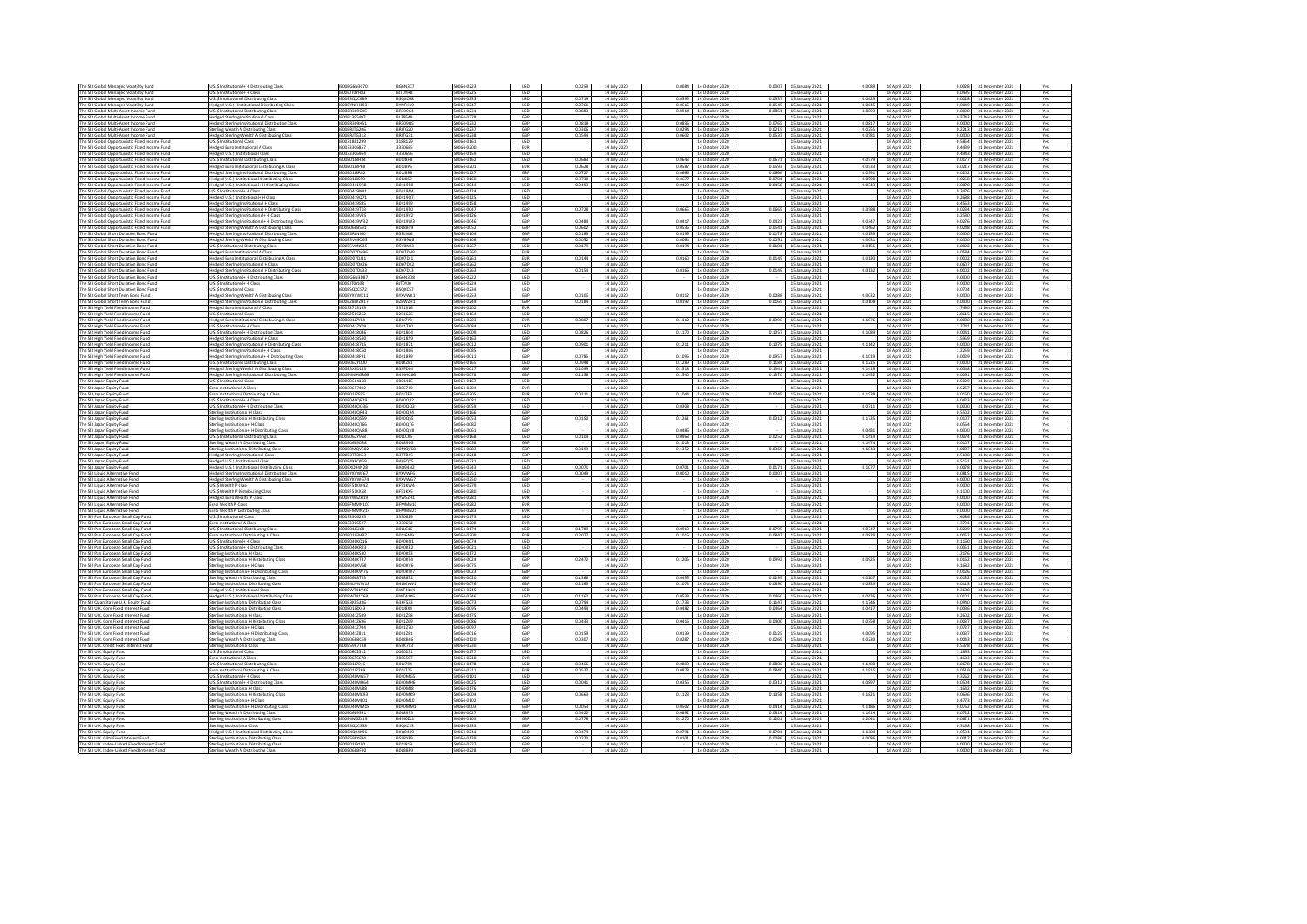| The SEI Global Managed Volatility Fund                                                           | U.S.\$ Institutional+ H Distributing Class                                                          | <b>IFOORGEN3C70</b>                  | BG6N3C7                          | S0064-0223                | <b>USD</b><br>0.0259                  | 14 July 2020                 | 0.0084 14 October 2020                           | 0.0007 15 January 2021                           | 0.0089             | 16 April 2021                         | 0.0028<br>31 December 2021                               |            |
|--------------------------------------------------------------------------------------------------|-----------------------------------------------------------------------------------------------------|--------------------------------------|----------------------------------|---------------------------|---------------------------------------|------------------------------|--------------------------------------------------|--------------------------------------------------|--------------------|---------------------------------------|----------------------------------------------------------|------------|
| The SEI Global Managed Volatility Fund                                                           | U.S.S Institutional+ H Class                                                                        | IEOOBJTOYH83                         | BJT0YH8                          | S0064-0225                | <b>USD</b>                            | 14 July 2020                 | 14 October 2020                                  | 15 January 2021                                  |                    | 16 April 2021                         | 0.0495<br>31 December 2021                               | Yes        |
| The SEI Global Managed Volatility Fund                                                           | U.S.\$ Institutional Distributing Class                                                             | IE00BSQXC689<br>IFOORYNFH193         | BSQXC68<br>WNFH19                | SO064-0235<br>50054-0247  | USD<br>0.0719<br><b>USD</b><br>0.0761 | 14 July 2020                 | 0.0595 14 October 2020                           | 0.0537 15 January 2021                           | 0.0629<br>2430.0   | 16 April 2021                         | 0.0028<br>31 December 2021<br>n mar                      | Yes        |
| The SEI Global Ma<br>The SEI Global Multi-Asset Income Func                                      | ged U.S.\$ Institutional Dist<br>ibuting Class<br><b>J.S.S Institutional Distributing Class</b>     | <b>IFOORR309G45</b>                  | <b>RR309G4</b>                   | 50064-0231                | $_{\text{HSD}}$<br>0.0883             | 14 July 2020<br>14 July 2020 | 0.0615 14 October 2020<br>0.0914 14 October 2020 | 0.0549 15 January 2021<br>0.0861 15 January 2021 | 0.0893             | 16 April 2021<br>16 April 2021        | 31 December 2021<br>0.0000<br>31 December 2021           | Yes<br>Yes |
| The SEI Global Multi-Asset Income Fund                                                           | <b>Hedged Sterling Institutional Class</b>                                                          | IE00BL395497                         | BL39549                          | S0064-0278                | GBP                                   | 14 July 2020                 | 14 October 2020                                  | 15 January 2021                                  |                    | 16 April 2021                         | 0.3743<br>31 December 2021                               | Yes        |
| The SEI Global Multi-Asset Income Fun                                                            | edged Sterling Institutional Distribi                                                               | E00BR309H5                           | <b>BR309H5</b>                   | S0064-0232                | GBP<br>0.0818                         | 14 July 2020                 | 0.0836 14 October 2020                           | 0.0765 15 January 2021                           | 0.0817             | 16 April 2021                         | 0.0000<br>31 December 2021                               | Yes        |
| The SEI Global Multi-Asset Income Func<br>The SEI Global Multi-Asset Income Fund                 | erling Wealth A Distributing Class<br>Hedged Sterling Wealth A Distributing Class                   | E00BRJTG206<br>IEOOBRJTG313          | BRJTG20<br>BRJTG31               | S0064-0237<br>S0064-0238  | GBP<br>0.0306<br>GBP<br>0.0594        | 14 July 2020<br>14 July 2020 | 0.0294 14 October 2020<br>0.0602 14 October 2020 | 0.0215 15 January 2021<br>0.0537 15 January 2021 | 0.0581             | 0.0255 16 April 2021<br>16 April 2021 | 0.2213<br>31 December 202<br>0.0000<br>31 December 2021  | Yes<br>Yes |
| The SEI Global Opportunistic Fixed Income Fund                                                   | U.S.S Institutional Class                                                                           | IE0031881299                         | 3188129                          | S0064-0161                | <b>USD</b>                            | 14 July 2020                 | 14 October 2020                                  | 15 January 2021                                  |                    | 16 April 2021                         | n sesa l<br>31 December 2021                             | Yes        |
| The SEI Global Opportunistic Fixed Income Func                                                   | <b>Hedged Euro Institutional A Class</b>                                                            | IE003330685                          | 3330685                          | S0064-020                 | EUR                                   | 14 July 2020                 | 14 October 2020                                  | 15 January 2021                                  |                    | 16 April 2021                         | 0.4439 31 December 2021                                  | Yes        |
| The SEI Global Opportunistic Fixed Income Fund<br>The SEI Global Opportunistic Fixed Income Fund | edged U.S.\$ Institutional Class<br>U.S.\$ Institutional Distributing Class                         | IE0033306964<br><b>IFOORD1 IRHR4</b> | 3330696<br><b>BO1J8H8</b>        | S0064-0159<br>\$0064-0162 | USD<br><b>USD</b><br>0.0683           | 14 July 2020<br>14 July 2020 | 14 October 2020<br>0.0643 14 October 2020        | 15 January 2021<br>0.0671 15 January 2021        | n nsze I           | 16 April 2021<br>16 April 2021        | 0.4943<br>31 December 2021<br>0.0177<br>31 December 2021 | Yes<br>Yes |
| The SEI Global Opportunistic Fixed Income Fund                                                   | Hedged Euro Institutional Distributing A Class                                                      | E00B01J8P68                          | <b>BO1JSP6</b>                   | S0064-020                 | EUR<br>0.0628                         | 14 July 2020                 | 0.0587 14 October 2020                           | 0.0593 15 January 2021                           | 0.0533             | 16 April 2021                         | 0.0217<br>31 December 2021                               | Yes        |
| The SEI Global Opportunistic Fixed Income Fund                                                   | edged Sterling Institutional Distributing Class                                                     | E00B01J8R82                          | <b>BO1J8R8</b>                   | S0064-0127                | GBP<br>0.072                          | 14 July 2020                 | 0.0666 14 October 2020                           | 0.0666 15 January 2021                           | 0.0591             | 16 April 2021                         | 0.020<br>31 December 2021                                | Yes        |
| The SEI Global Opportunistic Fixed Income Fund<br>The SEI Global Opportunistic Fixed Income Fund | dged U.S.\$ Institutional Distributing Clas<br>Hedged U.S.\$ Institutional+ H Distributing Class    | IFOORD1 IRS99<br>IE00B04119R8        | <b>R01IRS9</b><br>B0419R8        | S0064-0160<br>S0064-0044  | <b>USD</b><br>0.0738<br>USD<br>0.0493 | 14 July 2020<br>14 July 2020 | 0.0677 14 October 2020<br>0.0429 14 October 2020 | 0.0701 15 January 2021<br>0.0458 15 January 2021 | 0.0343             | 0.0598 16 April 2021<br>16 April 2021 | 0.0258<br>31 December 2021<br>0.0870<br>31 December 2021 | Yes<br>Yes |
| The SEI Global Opportunistic Fixed Income Fund                                                   | J.S.\$ Institutional+ H Class                                                                       | E00B0419N41                          | B0419N4                          | S0064-0124                | USD                                   | 14 July 2020                 | 14 October 2020                                  | 15 January 2021                                  |                    | 16 April 2021                         | 0.2476<br>31 December 2021                               | Yes        |
| The SEI Global Opportunistic Fixed Income Fund                                                   | Hedged U.S.\$ Institutional+ H Clas                                                                 | E00B0419Q71                          | B0419Q7                          | S0064-0125                | USD                                   | 14 July 2020                 | 14 October 2020                                  | 15 January 2021                                  |                    | 16 April 2021                         | 0.2688<br>31 December 2021                               | Yes        |
| The SEI Global Opportunistic Fixed Income Fund<br>The SEI Global Opportunistic Fixed Income Fund | dged Sterling Institutional H Class                                                                 | IE00B0419595<br>IE00B0419T03         | B041959<br>B0419T0               | S0064-0158<br>S0064-0047  | GBP<br>GBP<br>0.0728                  | 14 July 2020<br>14 July 2020 | 14 October 2020<br>0.0665 14 October 2020        | 15 January 2021<br>0.0665 15 January 2021        |                    | 16 April 2021<br>0.0588 16 April 2021 | 0.4563<br>31 December 2021<br>0.0234<br>31 December 2021 | Yes<br>Yes |
| The SEI Global Opportunistic Fixed Income Fund                                                   | <b>Hedged Sterling Institutional H Distributing Class</b><br>Hedged Sterling Institutional+ H Class | IE00B0419V25                         | B0419V2                          | S0064-0126                | GBP                                   | 14 July 2020                 | 14 October 2020                                  | 15 January 2021                                  |                    | 16 April 2021                         | 0.2580<br>31 December 2021                               | Yes        |
| The SEI Global Opportunistic Fixed Income Fun                                                    | Hedged Sterling Institutional+ H Distributing Class                                                 | E00B0419W32                          | B0419W3                          | S0064-0046                | GBP<br>0.0484                         | 14 July 2020                 | 0.0417 14 October 2020                           | 0.0423 15 January 2021                           | 0.0347             | 16 April 2021                         | 0.027<br>31 December 2021                                | Yes        |
| The SEI Global Opportunistic Fixed Income Fund<br>The SEI Global Short Duration Bond Fund        | dged Sterling Wealth A Distributing Class<br>Hedged Sterling Institutional Distributing Class       | IFOORDESR591<br>IE00B3RLNJ60         | B068B59<br>B3RLNJ6               | S0064-0052<br>S0064-0104  | GRP<br>0.0607<br>GBP<br>0.0183        | 14 July 2020<br>14 July 2020 | 0.0536 14 October 2020<br>0.0195 14 October 2020 | 0.0541 15 January 2021<br>0.0178 15 January 2021 | n nasz I<br>0.0159 | 16 April 2021<br>16 April 2021        | 0.0248<br>31 December 2021<br>0.0000<br>31 December 2021 | Yes<br>Yes |
| The SEI Global Short Duration Bond Fund                                                          | ledged Sterling Wealth A Distributing Class                                                         | IE00B3V69Q65                         | B3V69Q6                          | S0064-0106                | GBP<br>0.0052                         | 14 July 2020                 | 0.0064 14 October 2020                           | 0.0051 15 January 2021                           | 0.0031             | 16 April 2021                         | 0.0000<br>31 December 2021                               | Yes        |
| The SEI Global Short Duration Bond Fund                                                          | I.S.\$ Institutional Distributing Class                                                             | <b>IFOORSVONG35</b>                  | BSVON93                          | S0064-0267                | <b>USD</b><br>0.0179                  | 14 July 2020                 | 0.0194 14 October 2020                           | 0.0181 15 January 2021                           | 0.0156             | 16 April 2021                         | 0.0022<br>31 December 2021                               | Yes        |
| The SEI Global Short Duration Bond Fund                                                          | ledged Euro Institutional A Class                                                                   | IE00BD07DH96                         | BD07DH9                          | S0064-0260                | <b>EUR</b>                            | 14 July 2020                 | 14 October 2020                                  | 15 January 2021                                  |                    | 16 April 2021                         | 0.0584<br>31 December 2021                               | Yes        |
| The SEI Global Short Duration Bond Fund<br>The SEI Global Short Duration Bond Fund               | <b>Hedged Euro Institutional Distributing A Class</b><br>edged Sterling Institutional H Class       | IE00BD07DJ11<br>E00BD07DK26          | BD07DJ1<br>ID07DK2               | S0064-0261<br>S0064-026   | <b>EUR</b><br>0.0144<br>GBP           | 14 July 2020<br>14 July 2020 | 0.0160 14 October 2020<br>14 October 2020        | 0.0145 15 January 2021<br>15 January 2021        |                    | 0.0130 16 April 2021<br>16 April 2021 | 0.0002 31 December 2021<br>0.0607<br>31 December 2021    | Yes<br>Yes |
| The SEI Global Short Duration Bond Fund                                                          | edged Sterling Institutional H Distributing Class                                                   | IE00BD07DL33                         | BD07DL3                          | S0064-0263                | GBP<br>0.0154                         | 14 July 2020                 | 0.0166 14 October 2020                           | 0.0149 15 January 2021                           | 0.0132             | 16 April 2021                         | 0.000<br>31 December 202                                 | Yes        |
| The SEI Global Short Duration Bond Fund                                                          | U.S.\$ Institutional+ H Distributing Class                                                          | IE00BG6N3D87                         | BG6N3D8                          | S0064-0222                | <b>USD</b>                            | 14 July 2020                 | 14 October 2020                                  | 15 January 2021                                  |                    | 16 April 2021                         | 0.0000<br>31 December 2021                               | Yes        |
| The SEI Global Short Duration Bond Fund<br>The SEI Global Short Duration Bond Fund               | U.S.\$ Institutional+ H Class<br><b>U.S.\$ Institutional Class</b>                                  | IEO0BJT0YJ08<br>IE00BSQXC572         | <b>OLYOTLB</b><br>BSQXC57        | S0064-0224<br>S0064-0234  | <b>USD</b><br><b>USD</b>              | 14 July 2020<br>14 July 2020 | 14 October 2020<br>14 October 2020               | 15 January 2021<br>15 January 2021               |                    | 16 April 2021<br>16 April 2021        | 0.0000<br>31 December 2021<br>0.070<br>31 December 2021  | Yes<br>Yes |
| The SEI Global Short Term Bond Fund                                                              | edged Sterling Wealth A Distributing Class                                                          | IE00BYXVWK11                         | BYXVWK1                          | S0064-0253                | GRP<br>0.0105                         | 14 July 2020                 | 0.0112 14 October 2020                           | 0.0088 15 January 2021                           | 0.0032             | 16 April 2021                         | 0.0000<br>31 December 2021                               | Yes        |
| The SEI Global Short Term Bond Fund                                                              | Hedged Sterling Institutional Distributing Class                                                    | IFOORZRWZH17                         | BZBWZH1                          | PASD-0249                 | GBP<br>0.0184                         | 14 July 2020                 | 0.0192 14 October 2020                           | 0.0165 15 January 2021                           | n nans             | 16 April 2021                         | 0.0000<br>31 December 2021                               | Yes        |
| The SEI High Yield Fixed Income Fund                                                             | edged Euro Institutional A Class<br>J.S.\$ Institutional Class                                      | E0033713169<br>E0002516262           | 371316<br>0251626                | S0064-0202<br>S0064-0164  | EUR<br>USD                            | 14 July 2020<br>14 July 2020 | 14 October 2020<br>14 October 2020               | 15 January 2021<br>15 January 2021               |                    | 16 April 2021<br>16 April 2021        | 1.749<br>31 December 2021<br>2.8615                      | Yes<br>Yes |
| The SEI High Yield Fixed Income Fund<br>The SEI High Yield Fixed Income Fund                     | edged Euro Institutional Distributing A Class                                                       | <b>IFOORD117YR4</b>                  | <b>BO117YS</b>                   | 50064-0203                | 0.0807<br>EUR                         | 14 July 2020                 | 0.1112 14 October 2020                           | 0.0996 15 January 2021                           |                    | 0.1076 16 April 2021                  | 31 December 2021<br>0.0000<br>31 December 2021           | Yes        |
| The SEI High Yield Fixed Income Fund                                                             | J.S.S Institutional+ H Class                                                                        | E00B0417X09                          | B0417XD                          | S0064-0084                | <b>USD</b>                            | 14 July 2020                 | 14 October 2020                                  | 15 January 2021                                  |                    | 16 April 2021                         | 1,2741<br>31 December 2021                               | Yes        |
| The SEI High Yield Fixed Income Fund<br>The SEI High Yield Fixed Income Fund                     | U.S.\$ Institutional+ H Distributing Class<br>edged Sterling Institutional H Class                  | E00B0418046<br>IE00B0418590          | B041804<br>B041859               | S0064-000<br>S0064-0163   | USD<br>0.0826<br>GBP                  | 14 July 2020<br>14 July 2020 | 0.1170 14 October 2020<br>14 October 2020        | 0.1057 15 January 2021<br>15 January 2021        | 0.1089             | 16 April 2021<br>16 April 2021        | 0.0041<br>31 December 2021<br>31 December 2021<br>1.595  | Yes<br>Yes |
| The SEI High Yield Fixed Income Fund                                                             | dged Sterling Institutional H Distributing Class                                                    | IE00B0418715                         | B041871                          | S0064-0012                | GBP<br>0.0901                         | 14 July 2020                 | 0.1211 14 October 2020                           | 0.1075 15 January 2021                           | 0.1142             | 16 April 2021                         | 0.0000<br>31 December 2021                               | Yes        |
| The SEI High Yield Fixed Income Fund                                                             | Hedged Sterling Institutional+ H Class                                                              | IE00B0418C60                         | B0418C6                          | S0064-0085                | GBP                                   | 14 July 2020                 | 14 October 2020                                  | 15 January 2021                                  |                    | 16 April 2021                         | 1,2259<br>31 December 2021                               | Yes        |
| The SEI High Yield Fixed Income Fund                                                             | edged Sterling Institutional+ H Distributing Class                                                  | IE00B0418F91                         | B0418F9<br><b>BOLKZ81</b>        | S0064-0011                | GBP<br>0.0785                         | 14 July 2020                 | 0.1096 14 October 2020                           | 0.0957 15 January 2021                           | 0.1019             | 16 April 2021                         | 0.0029<br>31 December 2021                               | Yes        |
| The SEI High Yield Fixed Income Fund<br>The SEI High Yield Fixed Income Fund                     | J.S.\$ Institutional Distributing Class<br>Hedged Sterling Wealth A Distributing Class              | E00B062YD00<br>IEO0B3XFDL43          | B3XFDL4                          | S0064-016<br>50064-0017   | USD<br>0.0948<br>GBP<br>0.1099        | 14 July 202<br>14 July 2020  | 0.1289 14 October 2020<br>0.1518 14 October 2020 | 0.1184 15 January 2021<br>0.1341 15 January 2021 | 0.1215             | 16 April 2021<br>0.1419 16 April 2021 | 0.0000<br>31 December 202<br>0.0048<br>31 December 2021  | Yes<br>Yes |
| The SEI High Yield Fixed Income Func                                                             | edged Sterling Institutional Distributing Clas.                                                     | E00B4MHG86                           | <b>4MHG86</b>                    | S0064-0078                | GBP<br>0.1156                         | 14 July 2020                 | 0.1540 14 October 2020                           | 0.1370 15 January 2021                           | 0.1452             | 16 April 2021                         | 0.0061<br>31 December 2021                               | Yes        |
| The SEI Japan Equity Fund                                                                        | J.S.S Institutional Class                                                                           | E0000614168                          | 0061416                          | S0064-0167                | USD                                   | 14 July 2020                 | 14 October 2020                                  | 15 January 2021                                  |                    | 16 April 2021                         | 0.5029<br>31 December 2021                               | Yes        |
| The SEI Japan Equity Fund<br>The SEI Japan Equity Fund                                           | uro Institutional A Class<br>uro Institutional Distributing A Class                                 | IF0030657497<br>IE00B01J7F95         | 3065749<br>B01J7F9               | S0064-0204<br>S0064-0205  | EUR<br><b>EUR</b><br>0.0111           | 14 July 2020<br>14 July 2020 | 14 October 2020<br>0.1044 14 October 2020        | 15 January 2021<br>0.0245 15 January 2021        | 0.1538             | 16 April 2021<br>16 April 2021        | 0.5267<br>31 December 2021<br>0.0150<br>31 December 2021 | Yes<br>Yes |
| The SEI Japan Equity Fund                                                                        | U.S.S Institutional+ H Class                                                                        | IE00B040QP29                         | B040QP2                          | S0064-0081                | <b>USD</b>                            | 14 July 2020                 | 14 October 2020                                  | 15 January 2021                                  |                    | 16 April 2021                         | 0.0423<br>31 December 2021                               | Yes        |
| The SEI Japan Equity Fund                                                                        | I.S.\$ Institutional+ H Distributing Class                                                          | IE00B040QQ36                         | B040QQ3                          | S0064-0059                | <b>USD</b>                            | 14 July 2020                 | 0.0308 14 October 2020                           | 15 January 2021                                  | 0.0311             | 16 April 2021                         | 0.000<br>31 December 2021                                | Yes        |
| The SEI Japan Equity Fund<br>The SEI Japan Equity Fund                                           | erling Institutional H Class                                                                        | E00B040QR43<br>IE00B040QS59          | B040QR4<br>B040QS5               | S0064-0166<br>S0064-0053  | GBP<br>GBP<br>0.0150                  | 14 July 2020<br>14 July 2020 | 14 October 2020<br>0.1261 14 October 2020        | 15 January 2021                                  |                    | 16 April 2021                         | 0.5502<br>31 December 2021<br>0.010<br>31 December 2021  | Yes<br>Yes |
| The SEI Japan Equity Fund                                                                        | Sterling Institutional H Distributing Class<br>terling Institutional+ H Class                       | E00B040QT66                          | B040QT6                          | S0064-0082                | GBP                                   | 14 July 2020                 | 14 October 2020                                  | 0.0312 15 January 2021<br>15 January 2021        |                    | 0.1735 16 April 2021<br>16 April 2021 | 0.056<br>31 December 2021                                | Yes        |
| The SEI Japan Equity Fund                                                                        | ling Inst                                                                                           | E00B040QV8                           | 0400V8                           | 50064-006                 | GRP                                   | 14 July 2020                 | 0.0485 14 October 2020                           | 15 January 2021                                  | 0.0191             | 16 April 2021                         | 0.0000<br>31 December 202                                |            |
| The SEI Japan Equity Fund                                                                        | <b>U.S.S Institutional Distributing Class</b>                                                       | IE00B062Y968                         | <b>BOLLCKS</b>                   | S0064-0168                | <b>USD</b><br>0.0109                  | 14 July 2020                 | 0.0963 14 October 2020                           | 0.0252 15 January 2021                           | 0.1414             | 16 April 2021                         | 0.0074<br>31 December 2021                               | Yes        |
| The SEI Japan Equity Fund<br>The SEI Japan Equity Fund                                           | terling Wealth A Distributing Class<br>erling Institutional Distributing Class                      | E00B0689D38<br>E00B0MQV68            | B0689D3<br>BOMQV68               | S0064-0058<br>\$0064-0083 | GBP<br>GBP<br>0.0199                  | 14 July 2020<br>14 July 2020 | 0.1013 14 October 2020<br>0.1352 14 October 2020 | 15 January 2021<br>0.0369 15 January 2021        | 0.1843             | 0.1474 16 April 2021<br>16 April 2021 | 31 December 2021<br>0.0107<br>0.0087<br>31 December 2021 | Yes<br>Yes |
| The SEI Japan Equity Fund                                                                        | ledged Sterling Institutional Class                                                                 | EOOB3TTBK53                          | <b>B3TTBK5</b>                   | S0064-0248                | GBP                                   | 14 July 2020                 | 14 October 2020                                  | 15 January 2021                                  |                    | 16 April 2021                         | 0.5180<br>31 December 2021                               | Yes        |
| The SEI Japan Equity Fund                                                                        | dged U.S.S Institutional Class                                                                      | E00B4XFOY59                          | 34XFQY5                          | S0064-0221                | <b>USD</b>                            | 14 July 2020                 | 14 October 2020                                  | 15 January 2021                                  |                    | 16 April 2021                         | 0.515<br>31 December 202                                 | Yes        |
| The SEI Japan Equity Fund<br>The SEI Liquid Alternative Fun                                      | Hedged U.S.\$ Institutional Distributing Class                                                      | IE00BXQ94N28<br>E00BYXVWF67          | BXQ94N2<br>BYXVWF6               | S0064-0243<br>S0064-0251  | 0.0071<br><b>USD</b><br>GBP<br>0.0049 | 14 July 2020<br>14 July 2020 | 0.0701 14 October 2020<br>0.0010 14 October 2020 | 0.0171 15 January 2021                           |                    | 0.1077 16 April 2021<br>16 April 2021 | 0.0078<br>31 December 2021<br>0.0815                     | Yes<br>Yes |
| The SEI Liquid Alternative Fund                                                                  | edged Sterling Institutional Distributing Class<br>edged Sterling Wealth A Distributing Class       | E00BYXVWG74                          | RYXVWG7                          | S0064-0250                | GBP                                   | 14 July 2020                 | 14 October 2020                                  | 0.0007 15 January 2021<br>15 January 2021        |                    | 16 April 2021                         | 31 December 2021<br>0.0000<br>31 December 202            | Yes        |
| The SEI Liquid Alternative Fund                                                                  | U.S.\$ Wealth P Class                                                                               | IEOOBF51KW42                         | BF51KW4                          | S0064-0279                | <b>USD</b>                            | 14 July 2020                 | 14 October 2020                                  | 15 January 2021                                  |                    | 16 April 2021                         | 0.0000<br>31 December 2021                               | Yes        |
| The SEI Liquid Alternative Fund                                                                  | U.S.\$ Wealth P Distributing Class                                                                  | EOOBF51KX58                          | BF51KX5                          | S0064-0280                | <b>USD</b>                            | 14 July 2020                 | 14 October 2020                                  | 15 January 2021                                  |                    | 16 April 2021                         | 0.1100<br>31 December 2021                               | Yes        |
| The SEI Liquid Alternative Fund<br>The SEI Liquid Alternative Fund                               | Hedged Euro Wealth P Class<br>ro Wealth P Class                                                     | IE00BYWSZH19<br><b>IFOORFMAMN10</b>  | BYWSZH1<br>REMMMN10              | S0064-0281<br>50054-0282  | EUR<br>EUR                            | 14 July 2020<br>14 July 2020 | 14 October 2020<br>14 October 2020               | 15 January 2021<br>15 January 2021               |                    | 16 April 2021<br>16 April 2021        | 0.0000<br>31 December 2021<br>0.0000<br>31 December 2021 | Yes<br>Yes |
| The SEI Liquid Alternative Fund                                                                  | uro Wealth P Distributing Class                                                                     | IFOORFMAAN214                        | REMAAN21                         | \$200,02023               | <b>FLIR</b>                           | 14 July 2020                 | 14 October 2020                                  | 15 January 2021                                  |                    | 16 April 2021                         | 0.0000<br>31 December 2021                               | Yes        |
| The SEI Pan European Small Cap Fund                                                              | I.S.\$ Institutional Class                                                                          | E0033306295                          | 3330629                          | S0064-0173                | <b>USD</b>                            | 14 July 2020                 | 14 October 2020                                  | 15 January 2021                                  |                    | 16 April 2021                         | 1.4086<br>31 December 2021                               | Yes        |
| The SEI Pan European Small Cap Fund<br>The SEI Pan European Small Cap Fund                       | uro Institutional A Class<br>U.S.S Institutional Distributing Clas-                                 | E0033306527<br><b>FOORD1 I6168</b>   | 330652<br><b>BOLLC16</b>         | S0064-0208<br>50064-0174  | EUR<br><b>USD</b><br>0.1789           | 14 July 2020<br>14 July 2020 | 14 October 2020<br>0.0913 14 October 2020        | 15 January 2021<br>0.0795 15 January 2021        |                    | 16 April 2021<br>0.0747 16 April 2021 | 1.373<br>31 December 2021<br>0.0209<br>31 December 202   | Yes<br>Yes |
| The SEI Pan European Small Cap Fund                                                              | Euro Institutional Distributing A Class                                                             | IE00B01J6M97                         | B01J6M9                          | S0064-0209                | <b>EUR</b><br>0.2077                  | 14 July 2020                 | 0.1015 14 October 2020                           | 0.0847 15 January 2021                           | 0.0829             | 16 April 2021                         | 0.0052<br>31 December 2021                               | Yes        |
| The SEI Pan European Small Cap Fund                                                              | U.S.S Institutional+ H Class                                                                        | E00B040KO16                          | B040KQ1                          | S0064-0074                | <b>USD</b>                            | 14 July 2020                 | 14 October 2020                                  | 15 January 2021                                  |                    | 16 April 2021                         | 0.1160<br>31 December 2021                               | Yes        |
| The SEI Pan European Small Cap Fund<br>The SEI Pan European Small Cap Fund                       | J.S.\$ Institutional+ H Distributing Clas<br>erling Institutional H Class                           | IE00B040KR23<br><b>IFOORDADKS3D</b>  | <b>BD40KR2</b><br>F23000R        | S0064-0021<br>\$0064-0172 | <b>USD</b><br>GBP                     | 14 July 2020<br>14 July 2020 | 14 October 2020<br>14 October 2020               | 15 January 2021<br>15 January 2021               |                    | 16 April 2021<br>16 April 2021        | 0.0051<br>31 December 202<br>1 2176<br>31 December 2021  | Yes<br>Yes |
| The SEI Pan European Small Cap Fund                                                              | Sterling Institutional H Distributing Class                                                         | IE00B040KT47                         | B040KT4                          | S0064-0024                | GBP<br>0.2472                         | 14 July 2020                 | 0.1205 14 October 2020                           | 0.0992 15 January 2021                           |                    | 0.0925 16 April 2021                  | 0.0162<br>31 December 2021                               | Yes        |
| The SEI Pan European Small Cap Fund                                                              | erling Institutional+ H Class                                                                       | IE00B040KV68                         | <b>BO40KV6</b>                   | S0064-0075                | GBP                                   | 14 July 2020                 | 14 October 2020                                  | 15 January 2021                                  |                    | 16 April 2021                         | 0.1682<br>31 December 2021                               | Yes        |
| The SEI Pan European Small Cap Funn<br>The SEI Pan European Small Cap Fund                       | nal+ H Distributing Clas<br>erling Institutio<br>erling Wealth A Distributing Clas                  | E00B040KW7<br>F00R0688T23            | B040KW7<br><b>ROGRAT2</b>        | S0064-0023<br>50064-0020  | GBP<br>GRP<br>0.1366                  | 14 July 2020<br>14 July 2020 | 14 October 2020<br>0.0495 14 October 2020        | 15 January 2021<br>0.0299 15 January 2021        | 0.0207             | 16 April 2021<br>16 April 2021        | 0.012<br>31 December 202<br>0.0132<br>31 December 2021   | Yes<br>Yes |
| The SEI Pan European Small Cap Fund                                                              | erling Institutional Distributing Class                                                             | IE00B4LMVW18                         | B4LMVW1                          | S0064-0076                | GBP<br>0.2165                         | 14 July 2020                 | 0.1073 14 October 2020                           | 0.0890 15 January 2021                           | 0.0833             | 16 April 2021                         | 0.0113<br>31 December 2021                               | Yes        |
| The SEI Pan European Small Cap Fund                                                              | edged U.S.\$ Institutional Class                                                                    | E00BWT41V46                          | <b>BWT41V4</b>                   | S0064-0245                | <b>USD</b>                            | 14 July 2020                 | 14 October 2020                                  | 15 January 2021                                  |                    | 16 April 2021                         | 0.3688<br>31 December 2021                               | Yes        |
| The SEI Pan European Small Cap Fund<br>The SEI Quantitative U.K. Equity Fund                     | ledged U.S.\$ Institutional Distributing Clas<br>rling Institutional Distributing Class             | E00BWT41X69<br><b>IEO0B3KF5336</b>   | <b>BWT41X6</b><br><b>B3KF533</b> | S0064-0246<br>S0064-0073  | <b>USD</b><br>0.1160<br>GBP<br>0.0794 | 14 July 2020<br>14 July 2020 | 0.0538 14 October 2020<br>0.1733 14 October 2020 | 0.0460 15 January 2021<br>0.1147 15 January 2021 | 0.0426             | 16 April 2021<br>0.1746 16 April 2021 | 0.0101<br>31 December 202<br>0.0940<br>31 December 2021  | Yes<br>Yes |
| The SEI U.K. Core Fixed Interest Fund                                                            | Sterling Institutional Distributing Class                                                           | IE00B01J8X43                         | B01J8X4                          | S0064-0095                | GBP<br>0.0499                         | 14 July 2020                 | 0.0482 14 October 2020                           | 0.0464 15 January 2021                           |                    | 0.0417 16 April 2021                  | 0.0036<br>31 December 2021                               | Yes        |
| The SEI U.K. Core Fixed Interest Fund                                                            | erling Institutional H Class                                                                        | E00B041Z589                          | B041Z58                          | S0064-0175                | GBP                                   | 14 July 2020                 | 14 October 2020                                  | 15 January 2021                                  |                    | 16 April 2021                         | 0.2602<br>31 December 2021                               | Yes        |
| The SEI U.K. Core Fixed Interest Fund<br>The SEI U.K. Core Fixed Interest Fund                   | Sterling Institutional H Distributing Class<br>erling Institutional+ H Class                        | IE00B041Z696<br>E00B041Z704          | B041Z69<br>B041Z70               | S0064-0086<br>S0064-0097  | GBP<br>0.0433<br>GBP                  | 14 July 2020<br>14 July 2020 | 0.0416 14 October 2020<br>14 October 2020        | 0.0400 15 January 2021<br>15 January 2021        | 0.0358             | 16 April 2021<br>16 April 2021        | 0.003<br>31 December 2021<br>0.072<br>31 December 2021   | Yes<br>Yes |
| The SEI U.K. Core Fixed Interest Fund                                                            | terling Institutional+ H Distributing Clas:                                                         | IE00B041Z811                         | B041Z81                          | S0064-0016                | GBP<br>0.0159                         | 14 July 2020                 | 0.0139 14 October 2020                           | 0.0125 15 January 2021                           | 0.0095             | 16 April 2021                         | 0.0037<br>31 December 2021                               | Yes        |
| The SEI U.K. Core Fixed Interest Fund                                                            | terling Wealth A Distributing Class                                                                 | IE00B068BC69                         | <b>B068BC6</b>                   | S0064-0120                | GBP<br>0.0307                         | 14 July 2020                 | 0.0287 14 October 2020                           | 0.0269 15 January 2021                           | 0.0230             | 16 April 2021                         | 0.004<br>31 December 2021                                | Yes        |
| The SEI U.K. Credit Fixed Interest Fund<br>The SEI U.K. Equity Fund                              | vrling Institutional Class<br><b>U.S.S Institutional Class</b>                                      | FOORS9K7T38<br>IE0000602312          | <b>R59K7T3</b><br>0060231        | S0064-0230<br>S0064-0177  | GBP<br><b>USD</b>                     | 14 July 2020<br>14 July 2020 | 14 October 2020<br>14 October 2020               | 15 January 2021                                  |                    | 16 April 2021<br>16 April 2021        | 0.5378<br>31 December 2021<br>1.1853<br>31 December 2021 | Yes<br>Yes |
| The SEI U.K. Equity Fund                                                                         | uro Institutional A Class                                                                           | E0030655678                          | 3065567                          | S0064-0210                | EUR                                   | 14 July 2020                 | 14 October 2020                                  | 15 January 2021<br>15 January 2021               |                    | 16 April 2021                         | 1.1603<br>31 December 2021                               | Yes        |
| The SEI U.K. Equity Fund                                                                         | <b>J.S.\$ Institutional Distributing Clas</b>                                                       | 00801J704                            | 01/704                           | S0064-0178                | USD<br>0.046                          | 14 July 2020                 | 0.0809 14 October 2020                           | 0.0806 15 January 2021                           | 0.1400             | 16 April 2021                         | 0.0678<br>31 December 2021                               | Yes        |
| The SEI U.K. Equity Fund                                                                         | uro Institutional Distributing A Class                                                              | IE00B01J7269                         | B01J726                          | S0064-0211                | EUR<br>0.0527                         | 14 July 2020                 | 0.0878 14 October 2020                           | 0.0840 15 January 2021                           |                    | 0.1515 16 April 2021                  | 0.0519<br>31 December 2021                               | Yes        |
| The SEI U.K. Equity Fund<br>The SEI U.K. Equity Fund                                             | J.S.S Institutional+ H Class<br>U.S.\$ Institutional+ H Distributing Class                          | E00B040MG57<br>E00B040MH64           | <b>B040MG5</b><br>B040MH6        | S0064-0101<br>S0064-0025  | <b>USD</b><br><b>USD</b><br>0.0041    | 14 July 2020<br>14 July 2020 | 14 October 2020<br>0.0355 14 October 2020        | 15 January 2021<br>0.0312 15 January 2021        | 0.0897             | 16 April 2021<br>16 April 2021        | 0.3262<br>31 December 2021<br>0.0504<br>31 December 2021 | Yes<br>Yes |
| The SEI U.K. Equity Fund                                                                         | erling Institutional H Class                                                                        | E00B040MJ88                          | B040MJ8                          | S0064-017                 | GBP                                   | 14 July 2020                 | 14 October 2020                                  | 15 January 2021                                  |                    | 16 April 2021                         | 1.1642<br>31 December 202                                | Yes        |
| The SEI U.K. Equity Fund                                                                         | erling Institutional H Distributing Class                                                           | <b>IFOORD40MK93</b>                  | ROADMKR                          | S0064-0004                | GRP<br>0.0663                         | 14 July 2020                 | 0.1123 14 October 2020                           | 0.1058 15 January 2021                           | 0.1821             | 16 April 2021                         | 0.0696<br>31 December 2021                               | Yes        |
| The SEI U.K. Equity Fund<br>The SEI U.K. Equity Fund                                             | terling Institutional+ H Class<br>terling Institutional+ H Distributing Class                       | IE00B040ML01<br>IE00B040MM18         | B040MLD<br>B040MM1               | S0064-0102<br>S0064-0003  | GBP<br>GBP<br>0.0053                  | 14 July 2020<br>14 July 2020 | 14 October 2020<br>0.0502 14 October 2020        | 15 January 2021<br>0.0414 15 January 2021        | 0.1186             | 16 April 2021<br>16 April 2021        | 0.4773<br>31 December 2021<br>0.0762<br>31 December 2021 | Yes<br>Yes |
| The SEI U.K. Equity Fun                                                                          | rling Wealth A Distributing Class                                                                   | E00B0689331                          | B068933                          | S0064-0027                | GBP<br>0.0422                         | 14 July 2020                 | 0.0892 14 October 2020                           | 0.0814 15 January 2021                           | 0.1614             | 16 April 2021                         | 0.07<br>31 December 202                                  | Yes        |
| The SELLLK, Foulty Fund                                                                          | terling Institutional Distributing Class                                                            | IFOORAMOZI 19                        | RAMOZI 1                         | \$0064-0103               | GRP<br>0.0778                         | 14 July 2020                 | 0.1270 14 October 2020                           | 0.1201 15 January 2021                           | n znas I           | 16 Annil 2021                         | 0.0571<br>31 December 2021                               | Yes        |
| The SEI U.K. Equity Fund<br>The SEI U.K. Equity Fund                                             | erling Institutional Class                                                                          | E00BSQXC358                          | BSQXC35                          | S0064-0233                | GBP<br>0.0474                         | 14 July 2020                 | 14 October 2020                                  | 15 January 2021                                  | 0.1304             | 16 April 2021                         | 0.5158<br>31 December 2021                               | Yes        |
| The SEI U.K. Gilts Fixed Interest Fund                                                           | edged U.S.\$ Institutional Distributing Cla<br>erling Institutional Distributing Class              | E00BXQ94K9I<br>IE00B59RYF94          | BXQ94K9<br>B59RYF9               | S0064-0241<br>S0064-0139  | <b>USD</b><br>GBP<br>0.0220           | 14 July 2020<br>14 July 2020 | 0.0791 14 October 2020<br>0.0101 14 October 2020 | 0.0781 15 January 2021<br>0.0086 15 January 2021 | 0.0086             | 16 April 2021<br>16 April 2021        | 0.0534<br>31 December 2021<br>0.001<br>31 December 2021  | Yes<br>Yes |
| The SEI U.K. Index-Linked Fixed Interest Fund                                                    | terling Institutional Distributing Class                                                            | IE00B01J9190                         | B01J919                          | S0064-0227                | GBP                                   | 14 July 2020                 | 14 October 2020                                  | 15 January 2021                                  |                    | 16 April 2021                         | 0.0000<br>31 December 2021                               | Yes        |
| e SFI LLK Index-Linked Fixed Interest Fund                                                       | g Wealth & Distrib                                                                                  | <b>688F90</b>                        | <b>PER</b>                       | 164-0228                  |                                       | 14 July 202                  | 14 October 21                                    | 15 January 202                                   |                    | 16 April 2021                         | 0.000<br>31 Decer                                        |            |